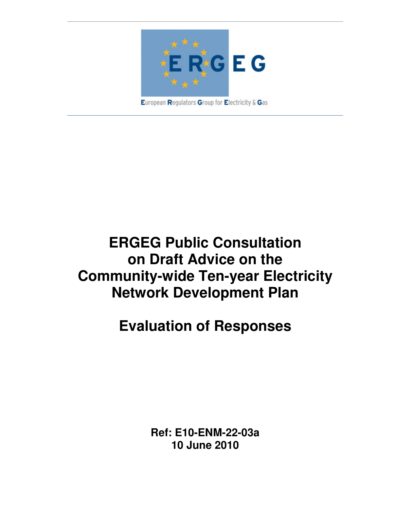

European Regulators Group for Electricity & Gas

# **ERGEG Public Consultation on Draft Advice on the Community-wide Ten-year Electricity Network Development Plan**

# **Evaluation of Responses**

**Ref: E10-ENM-22-03a 10 June 2010**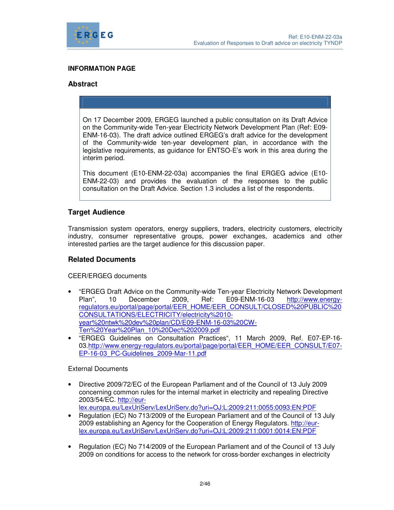

#### **INFORMATION PAGE**

#### **Abstract**

On 17 December 2009, ERGEG launched a public consultation on its Draft Advice on the Community-wide Ten-year Electricity Network Development Plan (Ref: E09- ENM-16-03). The draft advice outlined ERGEG's draft advice for the development of the Community-wide ten-year development plan, in accordance with the legislative requirements, as guidance for ENTSO-E's work in this area during the interim period.

This document (E10-ENM-22-03a) accompanies the final ERGEG advice (E10- ENM-22-03) and provides the evaluation of the responses to the public consultation on the Draft Advice. Section 1.3 includes a list of the respondents.

## **Target Audience**

Transmission system operators, energy suppliers, traders, electricity customers, electricity industry, consumer representative groups, power exchanges, academics and other interested parties are the target audience for this discussion paper.

#### **Related Documents**

CEER/ERGEG documents

- "ERGEG Draft Advice on the Community-wide Ten-year Electricity Network Development Plan", 10 December 2009, Ref: E09-ENM-16-03 http://www.energyregulators.eu/portal/page/portal/EER\_HOME/EER\_CONSULT/CLOSED%20PUBLIC%20 CONSULTATIONS/ELECTRICITY/electricity%2010 year%20ntwk%20dev%20plan/CD/E09-ENM-16-03%20CW-Ten%20Year%20Plan\_10%20Dec%202009.pdf
- "ERGEG Guidelines on Consultation Practices", 11 March 2009, Ref. E07-EP-16- 03.http://www.energy-regulators.eu/portal/page/portal/EER\_HOME/EER\_CONSULT/E07- EP-16-03\_PC-Guidelines\_2009-Mar-11.pdf

External Documents

• Directive 2009/72/EC of the European Parliament and of the Council of 13 July 2009 concerning common rules for the internal market in electricity and repealing Directive 2003/54/EC. http://eur-

lex.europa.eu/LexUriServ/LexUriServ.do?uri=OJ:L:2009:211:0055:0093:EN:PDF

- Regulation (EC) No 713/2009 of the European Parliament and of the Council of 13 July 2009 establishing an Agency for the Cooperation of Energy Regulators. http://eurlex.europa.eu/LexUriServ/LexUriServ.do?uri=OJ:L:2009:211:0001:0014:EN:PDF
- Regulation (EC) No 714/2009 of the European Parliament and of the Council of 13 July 2009 on conditions for access to the network for cross-border exchanges in electricity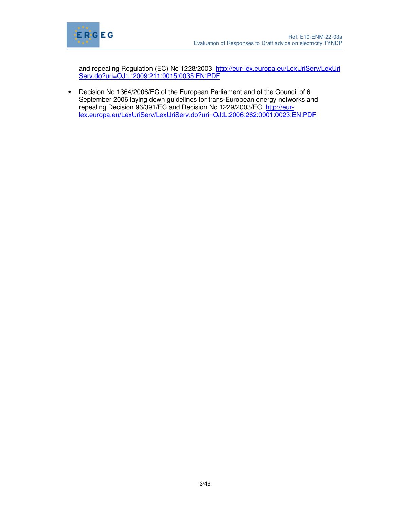

and repealing Regulation (EC) No 1228/2003. http://eur-lex.europa.eu/LexUriServ/LexUri Serv.do?uri=OJ:L:2009:211:0015:0035:EN:PDF

• Decision No 1364/2006/EC of the European Parliament and of the Council of 6 September 2006 laying down guidelines for trans-European energy networks and repealing Decision 96/391/EC and Decision No 1229/2003/EC. http://eurlex.europa.eu/LexUriServ/LexUriServ.do?uri=OJ:L:2006:262:0001:0023:EN:PDF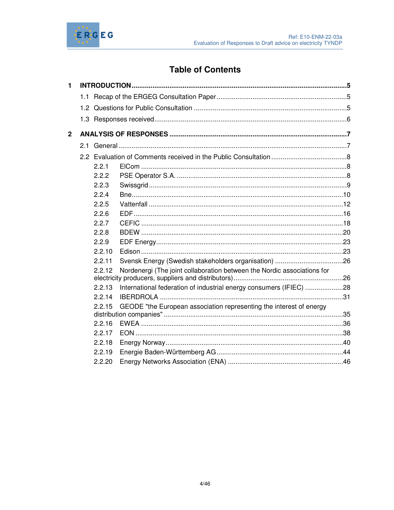

# **Table of Contents**

| 1              |        |                                                                         |  |
|----------------|--------|-------------------------------------------------------------------------|--|
|                |        |                                                                         |  |
|                |        |                                                                         |  |
|                |        |                                                                         |  |
| $\overline{2}$ |        |                                                                         |  |
|                |        |                                                                         |  |
|                |        |                                                                         |  |
|                | 2.2.1  |                                                                         |  |
|                | 2.2.2  |                                                                         |  |
|                | 2.2.3  |                                                                         |  |
|                | 2.2.4  |                                                                         |  |
|                | 2.2.5  |                                                                         |  |
|                | 2.2.6  |                                                                         |  |
|                | 2.2.7  |                                                                         |  |
|                | 2.2.8  |                                                                         |  |
|                | 2.2.9  |                                                                         |  |
|                | 2.2.10 |                                                                         |  |
|                | 2.2.11 |                                                                         |  |
|                | 2.2.12 | Nordenergi (The joint collaboration between the Nordic associations for |  |
|                | 2.2.13 | International federation of industrial energy consumers (IFIEC) 28      |  |
|                | 2.2.14 |                                                                         |  |
|                | 2.2.15 | GEODE "the European association representing the interest of energy     |  |
|                | 2.2.16 |                                                                         |  |
|                | 2.2.17 |                                                                         |  |
|                | 2.2.18 |                                                                         |  |
|                | 2.2.19 |                                                                         |  |
|                | 2.2.20 |                                                                         |  |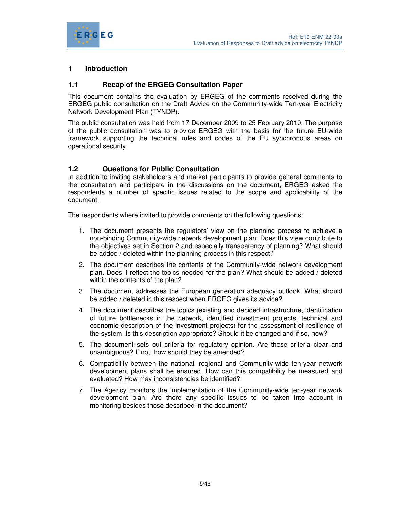

# **1 Introduction**

### **1.1 Recap of the ERGEG Consultation Paper**

This document contains the evaluation by ERGEG of the comments received during the ERGEG public consultation on the Draft Advice on the Community-wide Ten-year Electricity Network Development Plan (TYNDP).

The public consultation was held from 17 December 2009 to 25 February 2010. The purpose of the public consultation was to provide ERGEG with the basis for the future EU-wide framework supporting the technical rules and codes of the EU synchronous areas on operational security.

#### **1.2 Questions for Public Consultation**

In addition to inviting stakeholders and market participants to provide general comments to the consultation and participate in the discussions on the document, ERGEG asked the respondents a number of specific issues related to the scope and applicability of the document.

The respondents where invited to provide comments on the following questions:

- 1. The document presents the regulators' view on the planning process to achieve a non-binding Community-wide network development plan. Does this view contribute to the objectives set in Section 2 and especially transparency of planning? What should be added / deleted within the planning process in this respect?
- 2. The document describes the contents of the Community-wide network development plan. Does it reflect the topics needed for the plan? What should be added / deleted within the contents of the plan?
- 3. The document addresses the European generation adequacy outlook. What should be added / deleted in this respect when ERGEG gives its advice?
- 4. The document describes the topics (existing and decided infrastructure, identification of future bottlenecks in the network, identified investment projects, technical and economic description of the investment projects) for the assessment of resilience of the system. Is this description appropriate? Should it be changed and if so, how?
- 5. The document sets out criteria for regulatory opinion. Are these criteria clear and unambiguous? If not, how should they be amended?
- 6. Compatibility between the national, regional and Community-wide ten-year network development plans shall be ensured. How can this compatibility be measured and evaluated? How may inconsistencies be identified?
- 7. The Agency monitors the implementation of the Community-wide ten-year network development plan. Are there any specific issues to be taken into account in monitoring besides those described in the document?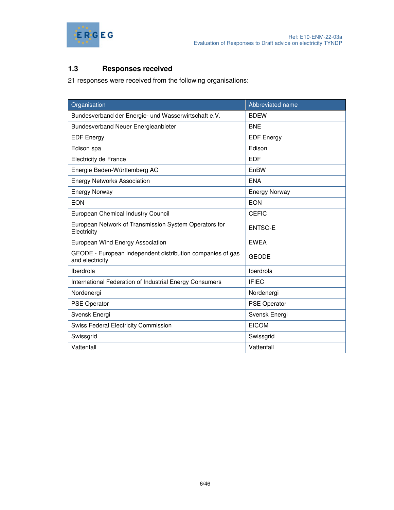

# **1.3 Responses received**

21 responses were received from the following organisations:

| Organisation                                                                  | Abbreviated name     |
|-------------------------------------------------------------------------------|----------------------|
| Bundesverband der Energie- und Wasserwirtschaft e.V.                          | <b>BDEW</b>          |
| <b>Bundesverband Neuer Energieanbieter</b>                                    | <b>BNE</b>           |
| <b>EDF Energy</b>                                                             | <b>EDF Energy</b>    |
| Edison spa                                                                    | Edison               |
| <b>Electricity de France</b>                                                  | <b>EDF</b>           |
| Energie Baden-Württemberg AG                                                  | EnBW                 |
| <b>Energy Networks Association</b>                                            | <b>ENA</b>           |
| <b>Energy Norway</b>                                                          | <b>Energy Norway</b> |
| <b>EON</b>                                                                    | <b>EON</b>           |
| European Chemical Industry Council                                            | <b>CEFIC</b>         |
| European Network of Transmission System Operators for<br>Electricity          | <b>ENTSO-E</b>       |
| European Wind Energy Association                                              | <b>EWEA</b>          |
| GEODE - European independent distribution companies of gas<br>and electricity | <b>GEODE</b>         |
| Iberdrola                                                                     | Iberdrola            |
| International Federation of Industrial Energy Consumers                       | <b>IFIEC</b>         |
| Nordenergi                                                                    | Nordenergi           |
| <b>PSE Operator</b>                                                           | <b>PSE Operator</b>  |
| Svensk Energi                                                                 | Svensk Energi        |
| <b>Swiss Federal Electricity Commission</b>                                   | <b>EICOM</b>         |
| Swissgrid                                                                     | Swissgrid            |
| Vattenfall                                                                    | Vattenfall           |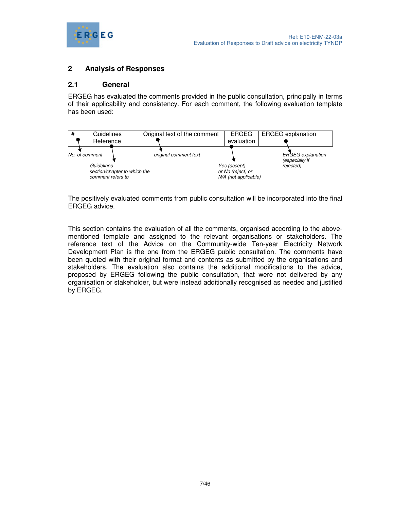

# **2 Analysis of Responses**

### **2.1 General**

ERGEG has evaluated the comments provided in the public consultation, principally in terms of their applicability and consistency. For each comment, the following evaluation template has been used:



The positively evaluated comments from public consultation will be incorporated into the final ERGEG advice.

This section contains the evaluation of all the comments, organised according to the abovementioned template and assigned to the relevant organisations or stakeholders. The reference text of the Advice on the Community-wide Ten-year Electricity Network Development Plan is the one from the ERGEG public consultation. The comments have been quoted with their original format and contents as submitted by the organisations and stakeholders. The evaluation also contains the additional modifications to the advice, proposed by ERGEG following the public consultation, that were not delivered by any organisation or stakeholder, but were instead additionally recognised as needed and justified by ERGEG.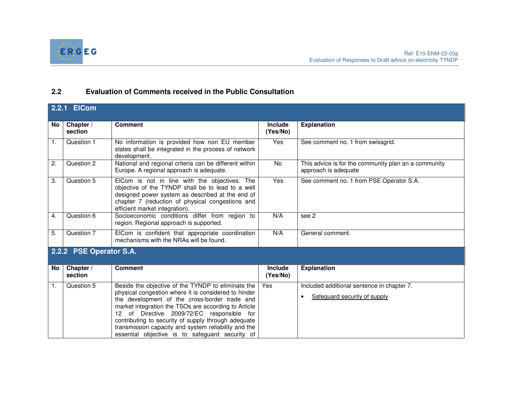

# **2.2 Evaluation of Comments received in the Public Consultation**

|    | 2.2.1 ElCom             |                                                                                                                                                                                                                                                                                                                                                                                                                                     |                            |                                                                                         |
|----|-------------------------|-------------------------------------------------------------------------------------------------------------------------------------------------------------------------------------------------------------------------------------------------------------------------------------------------------------------------------------------------------------------------------------------------------------------------------------|----------------------------|-----------------------------------------------------------------------------------------|
| No | Chapter /<br>section    | <b>Comment</b>                                                                                                                                                                                                                                                                                                                                                                                                                      | <b>Include</b><br>(Yes/No) | <b>Explanation</b>                                                                      |
| 1. | Question 1              | No information is provided how non EU member<br>states shall be integrated in the process of network<br>development.                                                                                                                                                                                                                                                                                                                | <b>Yes</b>                 | See comment no. 1 from swissgrid.                                                       |
| 2. | Question 2              | National and regional criteria can be different within<br>Europe. A regional approach is adequate.                                                                                                                                                                                                                                                                                                                                  | <b>No</b>                  | This advice is for the community plan an a community<br>approach is adequate            |
| 3. | Question 5              | EICom is not in line with the objectives. The<br>objective of the TYNDP shall be to lead to a well<br>designed power system as described at the end of<br>chapter 7 (reduction of physical congestions and<br>efficient market integration).                                                                                                                                                                                        | Yes                        | See comment no. 1 from PSE Operator S.A.                                                |
| 4. | Question 6              | Socioeconomic conditions differ from region to<br>region. Regional approach is supported.                                                                                                                                                                                                                                                                                                                                           | N/A                        | see 2                                                                                   |
| 5. | Question 7              | EICom is confident that appropriate coordination<br>mechanisms with the NRAs will be found.                                                                                                                                                                                                                                                                                                                                         | N/A                        | General comment.                                                                        |
|    | 2.2.2 PSE Operator S.A. |                                                                                                                                                                                                                                                                                                                                                                                                                                     |                            |                                                                                         |
| No | Chapter /<br>section    | <b>Comment</b>                                                                                                                                                                                                                                                                                                                                                                                                                      | <b>Include</b><br>(Yes/No) | <b>Explanation</b>                                                                      |
| 1. | Question 5              | Beside the objective of the TYNDP to eliminate the<br>physical congestion where it is considered to hinder<br>the development of the cross-border trade and<br>market integration the TSOs are according to Article<br>12 of Directive 2009/72/EC responsible for<br>contributing to security of supply through adequate<br>transmission capacity and system reliability and the<br>essential objective is to safeguard security of | Yes                        | Included additional sentence in chapter 7.<br>Safeguard security of supply<br>$\bullet$ |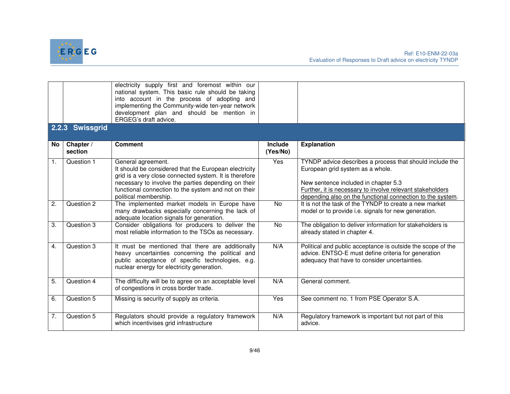

|                  |                 | electricity supply first and foremost within our<br>national system. This basic rule should be taking<br>into account in the process of adopting and<br>implementing the Community-wide ten-year network<br>development plan and should be mention in<br>ERGEG's draft advice. |                |                                                                                                                                                                                                                                                                 |
|------------------|-----------------|--------------------------------------------------------------------------------------------------------------------------------------------------------------------------------------------------------------------------------------------------------------------------------|----------------|-----------------------------------------------------------------------------------------------------------------------------------------------------------------------------------------------------------------------------------------------------------------|
|                  | 2.2.3 Swissgrid |                                                                                                                                                                                                                                                                                |                |                                                                                                                                                                                                                                                                 |
| No l             | Chapter /       | <b>Comment</b>                                                                                                                                                                                                                                                                 | <b>Include</b> | <b>Explanation</b>                                                                                                                                                                                                                                              |
|                  | section         |                                                                                                                                                                                                                                                                                | (Yes/No)       |                                                                                                                                                                                                                                                                 |
| $\mathbf{1}$ .   | Question 1      | General agreement.<br>It should be considered that the European electricity<br>grid is a very close connected system. It is therefore<br>necessary to involve the parties depending on their<br>functional connection to the system and not on their<br>political membership.  | Yes            | TYNDP advice describes a process that should include the<br>European grid system as a whole.<br>New sentence included in chapter 5.3<br>Further, it is necessary to involve relevant stakeholders<br>depending also on the functional connection to the system. |
| 2.               | Question 2      | The implemented market models in Europe have<br>many drawbacks especially concerning the lack of<br>adequate location signals for generation.                                                                                                                                  | <b>No</b>      | It is not the task of the TYNDP to create a new market<br>model or to provide i.e. signals for new generation.                                                                                                                                                  |
| 3.               | Question 3      | Consider obligations for producers to deliver the<br>most reliable information to the TSOs as necessary.                                                                                                                                                                       | No             | The obligation to deliver information for stakeholders is<br>already stated in chapter 4.                                                                                                                                                                       |
| $\overline{4}$ . | Question 3      | It must be mentioned that there are additionally<br>heavy uncertainties concerning the political and<br>public acceptance of specific technologies, e.g.<br>nuclear energy for electricity generation.                                                                         | N/A            | Political and public acceptance is outside the scope of the<br>advice. ENTSO-E must define criteria for generation<br>adequacy that have to consider uncertainties.                                                                                             |
| 5.               | Question 4      | The difficulty will be to agree on an acceptable level<br>of congestions in cross border trade.                                                                                                                                                                                | N/A            | General comment.                                                                                                                                                                                                                                                |
| 6.               | Question 5      | Missing is security of supply as criteria.                                                                                                                                                                                                                                     | Yes            | See comment no. 1 from PSE Operator S.A.                                                                                                                                                                                                                        |
| 7.               | Question 5      | Regulators should provide a regulatory framework<br>which incentivises grid infrastructure                                                                                                                                                                                     | N/A            | Regulatory framework is important but not part of this<br>advice.                                                                                                                                                                                               |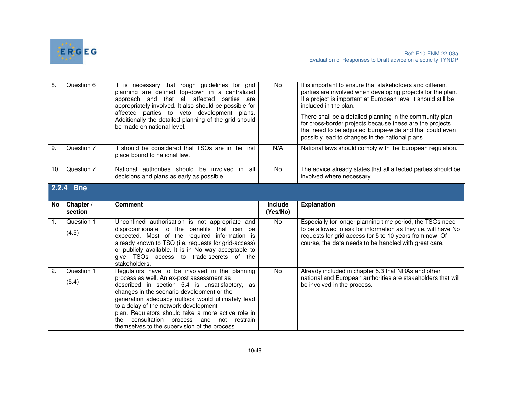

| $\overline{8}$ . | Question 6          | It is necessary that rough guidelines for grid<br>planning are defined top-down in a centralized<br>approach and that all affected parties are<br>appropriately involved. It also should be possible for<br>affected parties to veto development plans.<br>Additionally the detailed planning of the grid should<br>be made on national level. | <b>No</b> | It is important to ensure that stakeholders and different<br>parties are involved when developing projects for the plan.<br>If a project is important at European level it should still be<br>included in the plan.<br>There shall be a detailed planning in the community plan<br>for cross-border projects because these are the projects<br>that need to be adjusted Europe-wide and that could even<br>possibly lead to changes in the national plans. |  |
|------------------|---------------------|------------------------------------------------------------------------------------------------------------------------------------------------------------------------------------------------------------------------------------------------------------------------------------------------------------------------------------------------|-----------|------------------------------------------------------------------------------------------------------------------------------------------------------------------------------------------------------------------------------------------------------------------------------------------------------------------------------------------------------------------------------------------------------------------------------------------------------------|--|
| 9.               | Question 7          | It should be considered that TSOs are in the first<br>place bound to national law.                                                                                                                                                                                                                                                             | N/A       | National laws should comply with the European regulation.                                                                                                                                                                                                                                                                                                                                                                                                  |  |
| 10.              | Question 7          | National authorities should be involved<br>all<br>in<br>decisions and plans as early as possible.                                                                                                                                                                                                                                              | <b>No</b> | The advice already states that all affected parties should be<br>involved where necessary.                                                                                                                                                                                                                                                                                                                                                                 |  |
|                  | 2.2.4 Bne           |                                                                                                                                                                                                                                                                                                                                                |           |                                                                                                                                                                                                                                                                                                                                                                                                                                                            |  |
| No               | Chapter /           | <b>Comment</b>                                                                                                                                                                                                                                                                                                                                 | Include   | <b>Explanation</b>                                                                                                                                                                                                                                                                                                                                                                                                                                         |  |
|                  | section             |                                                                                                                                                                                                                                                                                                                                                | (Yes/No)  |                                                                                                                                                                                                                                                                                                                                                                                                                                                            |  |
| 1.               | Question 1<br>(4.5) | Unconfined authorisation is not appropriate and<br>disproportionate to the benefits that can be<br>expected. Most of the required information is<br>already known to TSO (i.e. requests for grid-access)<br>or publicly available. It is in No way acceptable to<br>give TSOs access to trade-secrets of the<br>stakeholders.                  | No        | Especially for longer planning time period, the TSOs need<br>to be allowed to ask for information as they i.e. will have No<br>requests for grid access for 5 to 10 years from now. Of<br>course, the data needs to be handled with great care.                                                                                                                                                                                                            |  |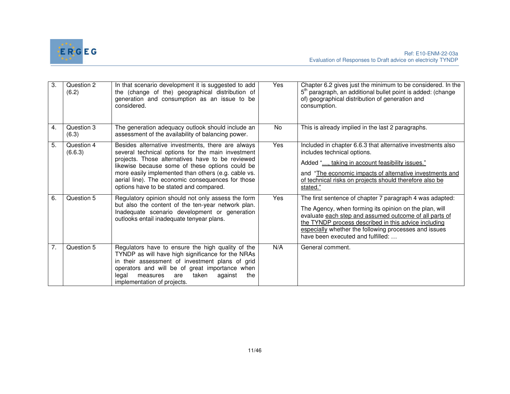

| 3. | Question 2<br>(6.2)   | In that scenario development it is suggested to add<br>the (change of the) geographical distribution of<br>generation and consumption as an issue to be<br>considered.                                                                                                                                                                                               | Yes | Chapter 6.2 gives just the minimum to be considered. In the<br>5 <sup>th</sup> paragraph, an additional bullet point is added: (change<br>of) geographical distribution of generation and<br>consumption.                                                                                                                          |
|----|-----------------------|----------------------------------------------------------------------------------------------------------------------------------------------------------------------------------------------------------------------------------------------------------------------------------------------------------------------------------------------------------------------|-----|------------------------------------------------------------------------------------------------------------------------------------------------------------------------------------------------------------------------------------------------------------------------------------------------------------------------------------|
| 4. | Question 3<br>(6.3)   | The generation adequacy outlook should include an<br>assessment of the availability of balancing power.                                                                                                                                                                                                                                                              | No  | This is already implied in the last 2 paragraphs.                                                                                                                                                                                                                                                                                  |
| 5. | Question 4<br>(6.6.3) | Besides alternative investments, there are always<br>several technical options for the main investment<br>projects. Those alternatives have to be reviewed<br>likewise because some of these options could be<br>more easily implemented than others (e.g. cable vs.<br>aerial line). The economic consequences for those<br>options have to be stated and compared. | Yes | Included in chapter 6.6.3 that alternative investments also<br>includes technical options.<br>Added ", taking in account feasibility issues."<br>and "The economic impacts of alternative investments and<br>of technical risks on projects should therefore also be<br>stated."                                                   |
| 6. | Question 5            | Regulatory opinion should not only assess the form<br>but also the content of the ten-year network plan.<br>Inadequate scenario development or generation<br>outlooks entail inadequate tenyear plans.                                                                                                                                                               | Yes | The first sentence of chapter 7 paragraph 4 was adapted:<br>The Agency, when forming its opinion on the plan, will<br>evaluate each step and assumed outcome of all parts of<br>the TYNDP process described in this advice including<br>especially whether the following processes and issues<br>have been executed and fulfilled: |
| 7. | Question 5            | Regulators have to ensure the high quality of the<br>TYNDP as will have high significance for the NRAs<br>in their assessment of investment plans of grid<br>operators and will be of great importance when<br>taken<br>the<br>legal<br>are<br>against<br>measures<br>implementation of projects.                                                                    | N/A | General comment.                                                                                                                                                                                                                                                                                                                   |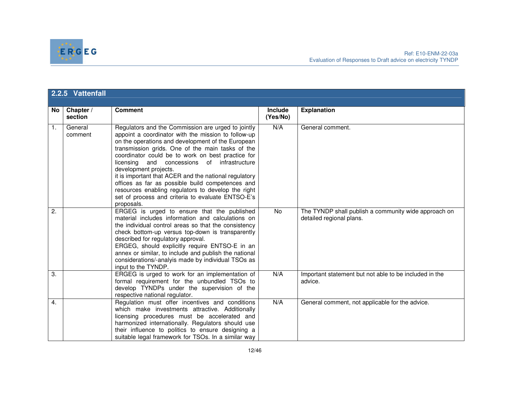

|                  | 2.2.5 Vattenfall     |                                                                                                                                                                                                                                                                                                                                                                                                                                                                                                                                                                                       |                            |                                                                                  |  |
|------------------|----------------------|---------------------------------------------------------------------------------------------------------------------------------------------------------------------------------------------------------------------------------------------------------------------------------------------------------------------------------------------------------------------------------------------------------------------------------------------------------------------------------------------------------------------------------------------------------------------------------------|----------------------------|----------------------------------------------------------------------------------|--|
| No l             | Chapter /<br>section | <b>Comment</b>                                                                                                                                                                                                                                                                                                                                                                                                                                                                                                                                                                        | <b>Include</b><br>(Yes/No) | <b>Explanation</b>                                                               |  |
| 1.               | General<br>comment   | Regulators and the Commission are urged to jointly<br>appoint a coordinator with the mission to follow-up<br>on the operations and development of the European<br>transmission grids. One of the main tasks of the<br>coordinator could be to work on best practice for<br>licensing and concessions of infrastructure<br>development projects.<br>it is important that ACER and the national regulatory<br>offices as far as possible build competences and<br>resources enabling regulators to develop the right<br>set of process and criteria to evaluate ENTSO-E's<br>proposals. | N/A                        | General comment.                                                                 |  |
| 2.               |                      | ERGEG is urged to ensure that the published<br>material includes information and calculations on<br>the individual control areas so that the consistency<br>check bottom-up versus top-down is transparently<br>described for regulatory approval.<br>ERGEG, should explicitly require ENTSO-E in an<br>annex or similar, to include and publish the national<br>considerations/-analyis made by individual TSOs as<br>input to the TYNDP.                                                                                                                                            | No                         | The TYNDP shall publish a community wide approach on<br>detailed regional plans. |  |
| $\overline{3}$ . |                      | ERGEG is urged to work for an implementation of<br>formal requirement for the unbundled TSOs to<br>develop TYNDPs under the supervision of the<br>respective national regulator.                                                                                                                                                                                                                                                                                                                                                                                                      | N/A                        | Important statement but not able to be included in the<br>advice.                |  |
| 4.               |                      | Regulation must offer incentives and conditions<br>which make investments attractive. Additionally<br>licensing procedures must be accelerated and<br>harmonized internationally. Regulators should use<br>their influence to politics to ensure designing a<br>suitable legal framework for TSOs. In a similar way                                                                                                                                                                                                                                                                   | N/A                        | General comment, not applicable for the advice.                                  |  |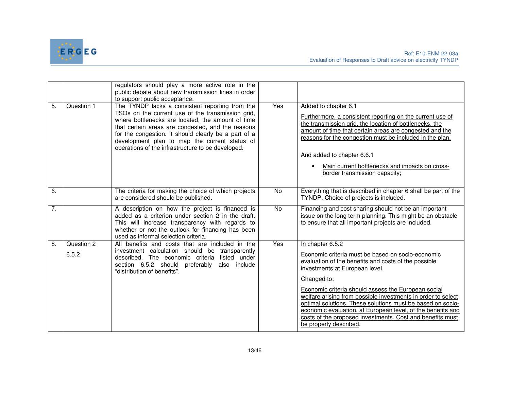

|    |                     | regulators should play a more active role in the<br>public debate about new transmission lines in order<br>to support public acceptance.                                                                                                                                                                                                                                     |           |                                                                                                                                                                                                                                                                                                                                                                                      |
|----|---------------------|------------------------------------------------------------------------------------------------------------------------------------------------------------------------------------------------------------------------------------------------------------------------------------------------------------------------------------------------------------------------------|-----------|--------------------------------------------------------------------------------------------------------------------------------------------------------------------------------------------------------------------------------------------------------------------------------------------------------------------------------------------------------------------------------------|
| 5. | Question 1          | The TYNDP lacks a consistent reporting from the<br>TSOs on the current use of the transmission grid,<br>where bottlenecks are located, the amount of time<br>that certain areas are congested, and the reasons<br>for the congestion. It should clearly be a part of a<br>development plan to map the current status of<br>operations of the infrastructure to be developed. | Yes       | Added to chapter 6.1<br>Furthermore, a consistent reporting on the current use of<br>the transmission grid, the location of bottlenecks, the<br>amount of time that certain areas are congested and the<br>reasons for the congestion must be included in the plan.<br>And added to chapter 6.6.1<br>Main current bottlenecks and impacts on cross-<br>border transmission capacity; |
| 6. |                     | The criteria for making the choice of which projects<br>are considered should be published.                                                                                                                                                                                                                                                                                  | No        | Everything that is described in chapter 6 shall be part of the<br>TYNDP. Choice of projects is included.                                                                                                                                                                                                                                                                             |
| 7. |                     | A description on how the project is financed is<br>added as a criterion under section 2 in the draft.<br>This will increase transparency with regards to<br>whether or not the outlook for financing has been<br>used as informal selection criteria.                                                                                                                        | <b>No</b> | Financing and cost sharing should not be an important<br>issue on the long term planning. This might be an obstacle<br>to ensure that all important projects are included.                                                                                                                                                                                                           |
| 8. | Question 2<br>6.5.2 | All benefits and costs that are included in the<br>investment calculation should be transparently<br>described. The economic criteria listed under<br>section 6.5.2 should<br>preferably<br>also include                                                                                                                                                                     | Yes       | In chapter 6.5.2<br>Economic criteria must be based on socio-economic<br>evaluation of the benefits and costs of the possible                                                                                                                                                                                                                                                        |
|    |                     | "distribution of benefits".                                                                                                                                                                                                                                                                                                                                                  |           | investments at European level.<br>Changed to:                                                                                                                                                                                                                                                                                                                                        |
|    |                     |                                                                                                                                                                                                                                                                                                                                                                              |           | Economic criteria should assess the European social<br>welfare arising from possible investments in order to select<br>optimal solutions. These solutions must be based on socio-<br>economic evaluation, at European level, of the benefits and<br>costs of the proposed investments. Cost and benefits must<br>be properly described.                                              |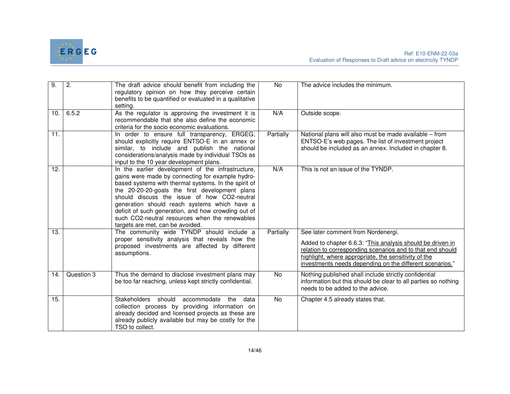

| $\overline{9}$ . | $\overline{2}$ . | The draft advice should benefit from including the<br>regulatory opinion on how they perceive certain<br>benefits to be quantified or evaluated in a qualitative<br>setting.                                                                                                                                                                                                                                                                                | No        | The advice includes the minimum.                                                                                                                                                                                                                                                   |
|------------------|------------------|-------------------------------------------------------------------------------------------------------------------------------------------------------------------------------------------------------------------------------------------------------------------------------------------------------------------------------------------------------------------------------------------------------------------------------------------------------------|-----------|------------------------------------------------------------------------------------------------------------------------------------------------------------------------------------------------------------------------------------------------------------------------------------|
| 10.              | 6.5.2            | As the regulator is approving the investment it is<br>recommendable that she also define the economic<br>criteria for the socio economic evaluations.                                                                                                                                                                                                                                                                                                       | N/A       | Outside scope.                                                                                                                                                                                                                                                                     |
| 11.              |                  | In order to ensure full transparency, ERGEG,<br>should explicitly require ENTSO-E in an annex or<br>similar, to include and publish the national<br>considerations/analysis made by individual TSOs as<br>input to the 10 year development plans.                                                                                                                                                                                                           | Partially | National plans will also must be made available - from<br>ENTSO-E's web pages. The list of investment project<br>should be included as an annex. Included in chapter 8.                                                                                                            |
| 12.              |                  | In the earlier development of the infrastructure,<br>gains were made by connecting for example hydro-<br>based systems with thermal systems. In the spirit of<br>the 20-20-20-goals the first development plans<br>should discuss the issue of how CO2-neutral<br>generation should reach systems which have a<br>deficit of such generation, and how crowding out of<br>such CO2-neutral resources when the renewables<br>targets are met, can be avoided. | N/A       | This is not an issue of the TYNDP.                                                                                                                                                                                                                                                 |
| 13.              |                  | The community wide TYNDP should include a<br>proper sensitivity analysis that reveals how the<br>proposed investments are affected by different<br>assumptions.                                                                                                                                                                                                                                                                                             | Partially | See later comment from Nordenergi.<br>Added to chapter 6.6.3: "This analysis should be driven in<br>relation to corresponding scenarios and to that end should<br>highlight, where appropriate, the sensitivity of the<br>investments needs depending on the different scenarios." |
| 14.              | Question 3       | Thus the demand to disclose investment plans may<br>be too far reaching, unless kept strictly confidential.                                                                                                                                                                                                                                                                                                                                                 | No        | Nothing published shall include strictly confidential<br>information but this should be clear to all parties so nothing<br>needs to be added to the advice.                                                                                                                        |
| 15.              |                  | Stakeholders should<br>accommodate<br>the<br>data<br>collection process by providing information on<br>already decided and licensed projects as these are<br>already publicly available but may be costly for the<br>TSO to collect.                                                                                                                                                                                                                        | No        | Chapter 4.5 already states that.                                                                                                                                                                                                                                                   |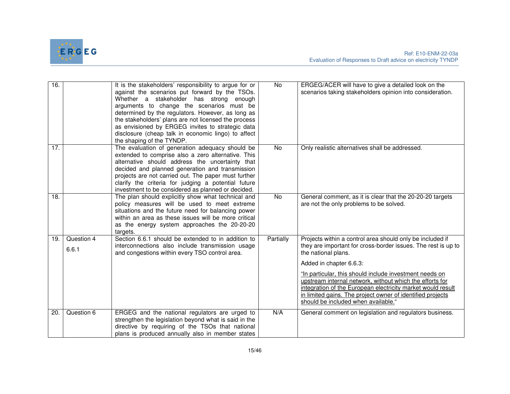

| 16. |                     | It is the stakeholders' responsibility to argue for or<br>against the scenarios put forward by the TSOs.<br>Whether a stakeholder has strong enough<br>arguments to change the scenarios must be<br>determined by the regulators. However, as long as<br>the stakeholders' plans are not licensed the process<br>as envisioned by ERGEG invites to strategic data<br>disclosure (cheap talk in economic lingo) to affect<br>the shaping of the TYNDP. | <b>No</b> | ERGEG/ACER will have to give a detailed look on the<br>scenarios taking stakeholders opinion into consideration.                                                                                                                                                                                                                                                                                                                                                        |
|-----|---------------------|-------------------------------------------------------------------------------------------------------------------------------------------------------------------------------------------------------------------------------------------------------------------------------------------------------------------------------------------------------------------------------------------------------------------------------------------------------|-----------|-------------------------------------------------------------------------------------------------------------------------------------------------------------------------------------------------------------------------------------------------------------------------------------------------------------------------------------------------------------------------------------------------------------------------------------------------------------------------|
| 17. |                     | The evaluation of generation adequacy should be<br>extended to comprise also a zero alternative. This<br>alternative should address the uncertainty that<br>decided and planned generation and transmission<br>projects are not carried out. The paper must further<br>clarify the criteria for judging a potential future<br>investment to be considered as planned or decided.                                                                      | <b>No</b> | Only realistic alternatives shall be addressed.                                                                                                                                                                                                                                                                                                                                                                                                                         |
| 18. |                     | The plan should explicitly show what technical and<br>policy measures will be used to meet extreme<br>situations and the future need for balancing power<br>within an area as these issues will be more critical<br>as the energy system approaches the 20-20-20<br>targets.                                                                                                                                                                          | No        | General comment, as it is clear that the 20-20-20 targets<br>are not the only problems to be solved.                                                                                                                                                                                                                                                                                                                                                                    |
| 19. | Question 4<br>6.6.1 | Section 6.6.1 should be extended to in addition to<br>interconnections also include transmission usage<br>and congestions within every TSO control area.                                                                                                                                                                                                                                                                                              | Partially | Projects within a control area should only be included if<br>they are important for cross-border issues. The rest is up to<br>the national plans.<br>Added in chapter 6.6.3:<br>"In particular, this should include investment needs on<br>upstream internal network, without which the efforts for<br>integration of the European electricity market would result<br>in limited gains. The project owner of identified projects<br>should be included when available." |
| 20. | Question 6          | ERGEG and the national regulators are urged to<br>strengthen the legislation beyond what is said in the<br>directive by requiring of the TSOs that national<br>plans is produced annually also in member states                                                                                                                                                                                                                                       | N/A       | General comment on legislation and regulators business.                                                                                                                                                                                                                                                                                                                                                                                                                 |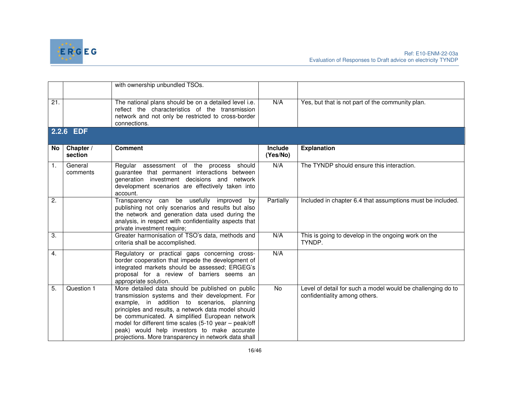

|                   |                      | with ownership unbundled TSOs.                                                                                                                                                                                                                                                                                                                                                                                              |                            |                                                                                              |
|-------------------|----------------------|-----------------------------------------------------------------------------------------------------------------------------------------------------------------------------------------------------------------------------------------------------------------------------------------------------------------------------------------------------------------------------------------------------------------------------|----------------------------|----------------------------------------------------------------------------------------------|
| $\overline{21}$ . |                      | The national plans should be on a detailed level i.e.<br>reflect the characteristics of the transmission<br>network and not only be restricted to cross-border<br>connections.                                                                                                                                                                                                                                              | N/A                        | Yes, but that is not part of the community plan.                                             |
|                   | 2.2.6 EDF            |                                                                                                                                                                                                                                                                                                                                                                                                                             |                            |                                                                                              |
| No.               | Chapter /<br>section | <b>Comment</b>                                                                                                                                                                                                                                                                                                                                                                                                              | <b>Include</b><br>(Yes/No) | <b>Explanation</b>                                                                           |
| 1.                | General<br>comments  | Regular assessment of the process should<br>guarantee that permanent interactions between<br>generation investment decisions and network<br>development scenarios are effectively taken into<br>account.                                                                                                                                                                                                                    | N/A                        | The TYNDP should ensure this interaction.                                                    |
| $\overline{2}$ .  |                      | Transparency can be usefully improved by<br>publishing not only scenarios and results but also<br>the network and generation data used during the<br>analysis, in respect with confidentiality aspects that<br>private investment require;                                                                                                                                                                                  | Partially                  | Included in chapter 6.4 that assumptions must be included.                                   |
| 3.                |                      | Greater harmonisation of TSO's data, methods and<br>criteria shall be accomplished.                                                                                                                                                                                                                                                                                                                                         | N/A                        | This is going to develop in the ongoing work on the<br>TYNDP.                                |
| $\overline{4}$ .  |                      | Regulatory or practical gaps concerning cross-<br>border cooperation that impede the development of<br>integrated markets should be assessed; ERGEG's<br>proposal for a review of barriers seems an<br>appropriate solution.                                                                                                                                                                                                | N/A                        |                                                                                              |
| 5.                | Question 1           | More detailed data should be published on public<br>transmission systems and their development. For<br>example, in addition to scenarios, planning<br>principles and results, a network data model should<br>be communicated. A simplified European network<br>model for different time scales (5-10 year - peak/off<br>peak) would help investors to make accurate<br>projections. More transparency in network data shall | <b>No</b>                  | Level of detail for such a model would be challenging do to<br>confidentiality among others. |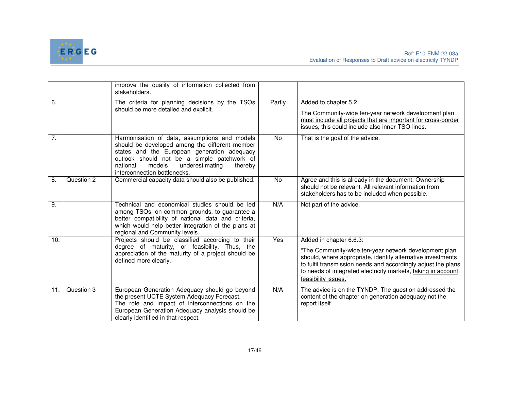

|     |            | improve the quality of information collected from<br>stakeholders.                                                                                                                                                                                                                |            |                                                                                                                                                                                                                                                                                |
|-----|------------|-----------------------------------------------------------------------------------------------------------------------------------------------------------------------------------------------------------------------------------------------------------------------------------|------------|--------------------------------------------------------------------------------------------------------------------------------------------------------------------------------------------------------------------------------------------------------------------------------|
| 6.  |            | The criteria for planning decisions by the TSOs<br>should be more detailed and explicit.                                                                                                                                                                                          | Partly     | Added to chapter 5.2:<br>The Community-wide ten-year network development plan<br>must include all projects that are important for cross-border<br>issues, this could include also inner-TSO-lines.                                                                             |
| 7.  |            | Harmonisation of data, assumptions and models<br>should be developed among the different member<br>states and the European generation adequacy<br>outlook should not be a simple patchwork of<br>models<br>underestimating<br>national<br>thereby<br>interconnection bottlenecks. | No         | That is the goal of the advice.                                                                                                                                                                                                                                                |
| 8.  | Question 2 | Commercial capacity data should also be published.                                                                                                                                                                                                                                | No         | Agree and this is already in the document. Ownership<br>should not be relevant. All relevant information from<br>stakeholders has to be included when possible.                                                                                                                |
| 9.  |            | Technical and economical studies should be led<br>among TSOs, on common grounds, to guarantee a<br>better compatibility of national data and criteria,<br>which would help better integration of the plans at<br>regional and Community levels.                                   | N/A        | Not part of the advice.                                                                                                                                                                                                                                                        |
| 10. |            | Projects should be classified according to their                                                                                                                                                                                                                                  | <b>Yes</b> | Added in chapter 6.6.3:                                                                                                                                                                                                                                                        |
|     |            | degree of maturity, or feasibility. Thus, the<br>appreciation of the maturity of a project should be<br>defined more clearly.                                                                                                                                                     |            | "The Community-wide ten-year network development plan<br>should, where appropriate, identify alternative investments<br>to fulfil transmission needs and accordingly adjust the plans<br>to needs of integrated electricity markets, taking in account<br>feasibility issues." |
| 11. | Question 3 | European Generation Adequacy should go beyond<br>the present UCTE System Adequacy Forecast.<br>The role and impact of interconnections on the<br>European Generation Adequacy analysis should be<br>clearly identified in that respect.                                           | N/A        | The advice is on the TYNDP. The question addressed the<br>content of the chapter on generation adequacy not the<br>report itself.                                                                                                                                              |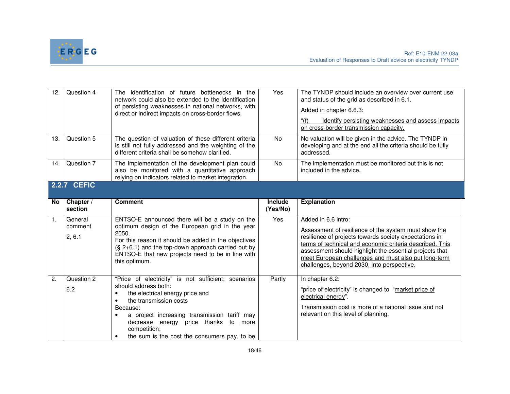

| 12.            | Question 4                   | The identification of future bottlenecks in the<br>network could also be extended to the identification<br>of persisting weaknesses in national networks, with<br>direct or indirect impacts on cross-border flows.                                                                                                            | Yes                        | The TYNDP should include an overview over current use<br>and status of the grid as described in 6.1.<br>Added in chapter 6.6.3:<br>Identify persisting weaknesses and assess impacts<br>on cross-border transmission capacity.                                                                                                                                     |  |  |
|----------------|------------------------------|--------------------------------------------------------------------------------------------------------------------------------------------------------------------------------------------------------------------------------------------------------------------------------------------------------------------------------|----------------------------|--------------------------------------------------------------------------------------------------------------------------------------------------------------------------------------------------------------------------------------------------------------------------------------------------------------------------------------------------------------------|--|--|
| 13.            | Question 5                   | The question of valuation of these different criteria<br>is still not fully addressed and the weighting of the<br>different criteria shall be somehow clarified.                                                                                                                                                               | <b>No</b>                  | No valuation will be given in the advice. The TYNDP in<br>developing and at the end all the criteria should be fully<br>addressed.                                                                                                                                                                                                                                 |  |  |
| 14.            | Question 7                   | The implementation of the development plan could<br>also be monitored with a quantitative approach<br>relying on indicators related to market integration.                                                                                                                                                                     | <b>No</b>                  | The implementation must be monitored but this is not<br>included in the advice.                                                                                                                                                                                                                                                                                    |  |  |
|                | <b>2.2.7 CEFIC</b>           |                                                                                                                                                                                                                                                                                                                                |                            |                                                                                                                                                                                                                                                                                                                                                                    |  |  |
| No             | Chapter /<br>section         | <b>Comment</b>                                                                                                                                                                                                                                                                                                                 | <b>Include</b><br>(Yes/No) | <b>Explanation</b>                                                                                                                                                                                                                                                                                                                                                 |  |  |
| $\mathbf{1}$ . | General<br>comment<br>2, 6.1 | ENTSO-E announced there will be a study on the<br>optimum design of the European grid in the year<br>2050.<br>For this reason it should be added in the objectives<br>$(S, 2+6.1)$ and the top-down approach carried out by<br>ENTSO-E that new projects need to be in line with<br>this optimum.                              | Yes                        | Added in 6.6 intro:<br>Assessment of resilience of the system must show the<br>resilience of projects towards society expectations in<br>terms of technical and economic criteria described. This<br>assessment should highlight the essential projects that<br>meet European challenges and must also put long-term<br>challenges, beyond 2030, into perspective. |  |  |
| 2.             | Question 2<br>6.2            | "Price of electricity" is not sufficient; scenarios<br>should address both:<br>the electrical energy price and<br>the transmission costs<br>٠<br>Because:<br>a project increasing transmission tariff may<br>$\bullet$<br>decrease energy price thanks to more<br>competition;<br>the sum is the cost the consumers pay, to be | Partly                     | In chapter 6.2:<br>"price of electricity" is changed to "market price of<br>electrical energy".<br>Transmission cost is more of a national issue and not<br>relevant on this level of planning.                                                                                                                                                                    |  |  |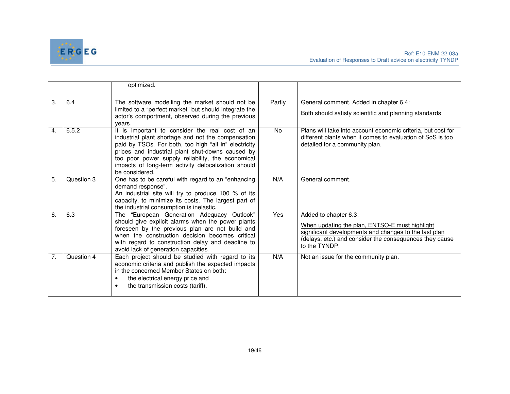

|    |            | optimized.                                                                                                                                                                                                                                                                                                                                       |        |                                                                                                                                                                                                              |
|----|------------|--------------------------------------------------------------------------------------------------------------------------------------------------------------------------------------------------------------------------------------------------------------------------------------------------------------------------------------------------|--------|--------------------------------------------------------------------------------------------------------------------------------------------------------------------------------------------------------------|
| 3. | 6.4        | The software modelling the market should not be<br>limited to a "perfect market" but should integrate the<br>actor's comportment, observed during the previous<br>vears.                                                                                                                                                                         | Partly | General comment. Added in chapter 6.4:<br>Both should satisfy scientific and planning standards                                                                                                              |
| 4. | 6.5.2      | It is important to consider the real cost of an<br>industrial plant shortage and not the compensation<br>paid by TSOs. For both, too high "all in" electricity<br>prices and industrial plant shut-downs caused by<br>too poor power supply reliability, the economical<br>impacts of long-term activity delocalization should<br>be considered. | No     | Plans will take into account economic criteria, but cost for<br>different plants when it comes to evaluation of SoS is too<br>detailed for a community plan.                                                 |
| 5. | Question 3 | One has to be careful with regard to an "enhancing<br>demand response".<br>An industrial site will try to produce 100 % of its<br>capacity, to minimize its costs. The largest part of<br>the industrial consumption is inelastic.                                                                                                               | N/A    | General comment.                                                                                                                                                                                             |
| 6. | 6.3        | The "European Generation Adequacy Outlook"<br>should give explicit alarms when the power plants<br>foreseen by the previous plan are not build and<br>when the construction decision becomes critical<br>with regard to construction delay and deadline to<br>avoid lack of generation capacities.                                               | Yes    | Added to chapter 6.3:<br>When updating the plan, ENTSO-E must highlight<br>significant developments and changes to the last plan<br>(delays, etc.) and consider the consequences they cause<br>to the TYNDP. |
| 7. | Question 4 | Each project should be studied with regard to its<br>economic criteria and publish the expected impacts<br>in the concerned Member States on both:<br>the electrical energy price and<br>$\bullet$<br>the transmission costs (tariff).<br>$\bullet$                                                                                              | N/A    | Not an issue for the community plan.                                                                                                                                                                         |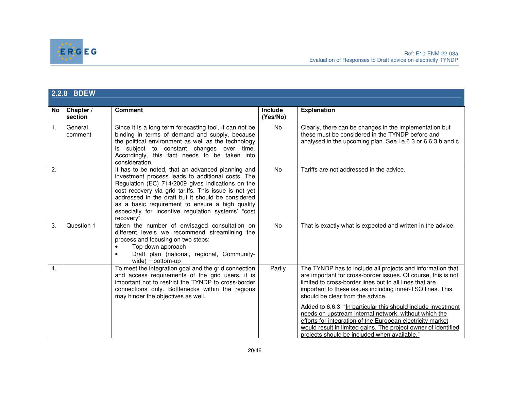

|                | 2.2.8 BDEW           |                                                                                                                                                                                                                                                                                                                                                                                                   |                            |                                                                                                                                                                                                                                                                                                        |  |
|----------------|----------------------|---------------------------------------------------------------------------------------------------------------------------------------------------------------------------------------------------------------------------------------------------------------------------------------------------------------------------------------------------------------------------------------------------|----------------------------|--------------------------------------------------------------------------------------------------------------------------------------------------------------------------------------------------------------------------------------------------------------------------------------------------------|--|
| No l           | Chapter /<br>section | <b>Comment</b>                                                                                                                                                                                                                                                                                                                                                                                    | <b>Include</b><br>(Yes/No) | <b>Explanation</b>                                                                                                                                                                                                                                                                                     |  |
| $\mathbf{1}$ . | General<br>comment   | Since it is a long term forecasting tool, it can not be<br>binding in terms of demand and supply, because<br>the political environment as well as the technology<br>subject to constant changes over time.<br>Accordingly, this fact needs to be taken into<br>consideration.                                                                                                                     | <b>No</b>                  | Clearly, there can be changes in the implementation but<br>these must be considered in the TYNDP before and<br>analysed in the upcoming plan. See i.e.6.3 or 6.6.3 b and c.                                                                                                                            |  |
| 2.             |                      | It has to be noted, that an advanced planning and<br>investment process leads to additional costs. The<br>Regulation (EC) 714/2009 gives indications on the<br>cost recovery via grid tariffs. This issue is not yet<br>addressed in the draft but it should be considered<br>as a basic requirement to ensure a high quality<br>especially for incentive regulation systems' "cost<br>recovery". | <b>No</b>                  | Tariffs are not addressed in the advice.                                                                                                                                                                                                                                                               |  |
| 3.             | Question 1           | taken the number of envisaged consultation on<br>different levels we recommend streamlining the<br>process and focusing on two steps:<br>Top-down approach<br>Draft plan (national, regional, Community-<br>$\bullet$<br>$wide) = bottom-up$                                                                                                                                                      | <b>No</b>                  | That is exactly what is expected and written in the advice.                                                                                                                                                                                                                                            |  |
| 4.             |                      | To meet the integration goal and the grid connection<br>and access requirements of the grid users, it is<br>important not to restrict the TYNDP to cross-border<br>connections only. Bottlenecks within the regions<br>may hinder the objectives as well.                                                                                                                                         | Partly                     | The TYNDP has to include all projects and information that<br>are important for cross-border issues. Of course, this is not<br>limited to cross-border lines but to all lines that are<br>important to these issues including inner-TSO lines. This<br>should be clear from the advice.                |  |
|                |                      |                                                                                                                                                                                                                                                                                                                                                                                                   |                            | Added to 6.6.3: "In particular this should include investment<br>needs on upstream internal network, without which the<br>efforts for integration of the European electricity market<br>would result in limited gains. The project owner of identified<br>projects should be included when available." |  |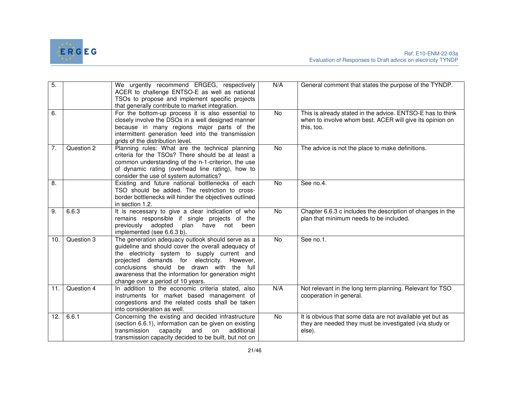

| $\overline{5}$ . |            | We urgently recommend ERGEG, respectively<br>ACER to challenge ENTSO-E as well as national<br>TSOs to propose and implement specific projects<br>that generally contribute to market integration.                                                                                                                                               | N/A            | General comment that states the purpose of the TYNDP.                                                                                |
|------------------|------------|-------------------------------------------------------------------------------------------------------------------------------------------------------------------------------------------------------------------------------------------------------------------------------------------------------------------------------------------------|----------------|--------------------------------------------------------------------------------------------------------------------------------------|
| 6.               |            | For the bottom-up process it is also essential to<br>closely involve the DSOs in a well designed manner<br>because in many regions major parts of the<br>intermittent generation feed into the transmission<br>grids of the distribution level.                                                                                                 | No             | This is already stated in the advice. ENTSO-E has to think<br>when to involve whom best. ACER will give its opinion on<br>this, too. |
| 7.               | Question 2 | Planning rules: What are the technical planning<br>criteria for the TSOs? There should be at least a<br>common understanding of the n-1-criterion, the use<br>of dynamic rating (overhead line rating), how to<br>consider the use of system automatics?                                                                                        | $\overline{N}$ | The advice is not the place to make definitions.                                                                                     |
| 8.               |            | Existing and future national bottlenecks of each<br>TSO should be added. The restriction to cross-<br>border bottlenecks will hinder the objectives outlined<br>in section 1.2.                                                                                                                                                                 | No             | See no.4.                                                                                                                            |
| $\overline{9}$ . | 6.6.3      | It is necessary to give a clear indication of who<br>remains responsible if single projects of the<br>previously adopted<br>plan have not<br>been<br>implemented (see 6.6.3 b).                                                                                                                                                                 | <b>No</b>      | Chapter 6.6.3 c includes the description of changes in the<br>plan that minimum needs to be included.                                |
| 10.              | Question 3 | The generation adequacy outlook should serve as a<br>guideline and should cover the overall adequacy of<br>the electricity system to supply current and<br>projected demands for electricity. However,<br>conclusions should be drawn with the full<br>awareness that the information for generation might<br>change over a period of 10 years. | <b>No</b>      | See no.1.                                                                                                                            |
| 11.              | Question 4 | In addition to the economic criteria stated, also<br>instruments for market based management of<br>congestions and the related costs shall be taken<br>into consideration as well.                                                                                                                                                              | N/A            | Not relevant in the long term planning. Relevant for TSO<br>cooperation in general.                                                  |
| 12.              | 6.6.1      | Concerning the existing and decided infrastructure<br>(section 6.6.1), information can be given on existing<br>and<br>transmission<br>capacity<br>additional<br>on<br>transmission capacity decided to be built, but not on                                                                                                                     | $\overline{N}$ | It is obvious that some data are not available yet but as<br>they are needed they must be investigated (via study or<br>else).       |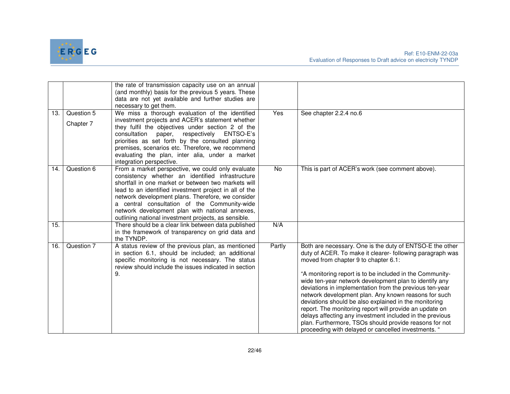

|     |                         | the rate of transmission capacity use on an annual<br>(and monthly) basis for the previous 5 years. These<br>data are not yet available and further studies are<br>necessary to get them.                                                                                                                                                                                                                                              |        |                                                                                                                                                                                                                                                                                                                                                                                                                                                                                                                                                                                                                                                                                                         |
|-----|-------------------------|----------------------------------------------------------------------------------------------------------------------------------------------------------------------------------------------------------------------------------------------------------------------------------------------------------------------------------------------------------------------------------------------------------------------------------------|--------|---------------------------------------------------------------------------------------------------------------------------------------------------------------------------------------------------------------------------------------------------------------------------------------------------------------------------------------------------------------------------------------------------------------------------------------------------------------------------------------------------------------------------------------------------------------------------------------------------------------------------------------------------------------------------------------------------------|
| 13. | Question 5<br>Chapter 7 | We miss a thorough evaluation of the identified<br>investment projects and ACER's statement whether<br>they fulfil the objectives under section 2 of the<br>respectively ENTSO-E's<br>consultation<br>paper,<br>priorities as set forth by the consulted planning<br>premises, scenarios etc. Therefore, we recommend<br>evaluating the plan, inter alia, under a market<br>integration perspective.                                   | Yes    | See chapter 2.2.4 no.6                                                                                                                                                                                                                                                                                                                                                                                                                                                                                                                                                                                                                                                                                  |
| 14. | Question 6              | From a market perspective, we could only evaluate<br>consistency whether an identified infrastructure<br>shortfall in one market or between two markets will<br>lead to an identified investment project in all of the<br>network development plans. Therefore, we consider<br>a central consultation of the Community-wide<br>network development plan with national annexes,<br>outlining national investment projects, as sensible. | No     | This is part of ACER's work (see comment above).                                                                                                                                                                                                                                                                                                                                                                                                                                                                                                                                                                                                                                                        |
| 15. |                         | There should be a clear link between data published<br>in the framework of transparency on grid data and<br>the TYNDP.                                                                                                                                                                                                                                                                                                                 | N/A    |                                                                                                                                                                                                                                                                                                                                                                                                                                                                                                                                                                                                                                                                                                         |
| 16. | Question 7              | A status review of the previous plan, as mentioned<br>in section 6.1, should be included; an additional<br>specific monitoring is not necessary. The status<br>review should include the issues indicated in section<br>9.                                                                                                                                                                                                             | Partly | Both are necessary. One is the duty of ENTSO-E the other<br>duty of ACER. To make it clearer- following paragraph was<br>moved from chapter 9 to chapter 6.1:<br>"A monitoring report is to be included in the Community-<br>wide ten-year network development plan to identify any<br>deviations in implementation from the previous ten-year<br>network development plan. Any known reasons for such<br>deviations should be also explained in the monitoring<br>report. The monitoring report will provide an update on<br>delays affecting any investment included in the previous<br>plan. Furthermore, TSOs should provide reasons for not<br>proceeding with delayed or cancelled investments. " |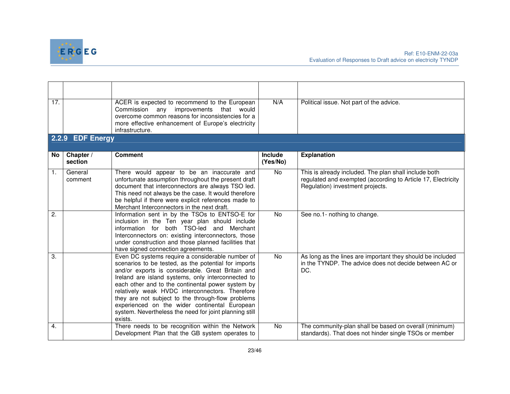

| 17.              |                      | ACER is expected to recommend to the European<br>Commission<br>improvements<br>any<br>that<br>would<br>overcome common reasons for inconsistencies for a<br>more effective enhancement of Europe's electricity<br>infrastructure.                                                                                                                                                                                                                                                                      | N/A                 | Political issue. Not part of the advice.                                                                                                                  |
|------------------|----------------------|--------------------------------------------------------------------------------------------------------------------------------------------------------------------------------------------------------------------------------------------------------------------------------------------------------------------------------------------------------------------------------------------------------------------------------------------------------------------------------------------------------|---------------------|-----------------------------------------------------------------------------------------------------------------------------------------------------------|
|                  | 2.2.9 EDF Energy     |                                                                                                                                                                                                                                                                                                                                                                                                                                                                                                        |                     |                                                                                                                                                           |
| No               | Chapter /<br>section | <b>Comment</b>                                                                                                                                                                                                                                                                                                                                                                                                                                                                                         | Include<br>(Yes/No) | <b>Explanation</b>                                                                                                                                        |
| 1.               | General<br>comment   | There would appear to be an inaccurate and<br>unfortunate assumption throughout the present draft<br>document that interconnectors are always TSO led.<br>This need not always be the case. It would therefore<br>be helpful if there were explicit references made to<br>Merchant Interconnectors in the next draft.                                                                                                                                                                                  | <b>No</b>           | This is already included. The plan shall include both<br>regulated and exempted (according to Article 17, Electricity<br>Regulation) investment projects. |
| 2.               |                      | Information sent in by the TSOs to ENTSO-E for<br>inclusion in the Ten year plan should include<br>information for both TSO-led and Merchant<br>Interconnectors on: existing interconnectors, those<br>under construction and those planned facilities that<br>have signed connection agreements.                                                                                                                                                                                                      | <b>No</b>           | See no.1- nothing to change.                                                                                                                              |
| $\overline{3}$ . |                      | Even DC systems require a considerable number of<br>scenarios to be tested, as the potential for imports<br>and/or exports is considerable. Great Britain and<br>Ireland are island systems, only interconnected to<br>each other and to the continental power system by<br>relatively weak HVDC interconnectors. Therefore<br>they are not subject to the through-flow problems<br>experienced on the wider continental European<br>system. Nevertheless the need for joint planning still<br>exists. | <b>No</b>           | As long as the lines are important they should be included<br>in the TYNDP. The advice does not decide between AC or<br>DC.                               |
| 4.               |                      | There needs to be recognition within the Network<br>Development Plan that the GB system operates to                                                                                                                                                                                                                                                                                                                                                                                                    | $\overline{N}$      | The community-plan shall be based on overall (minimum)<br>standards). That does not hinder single TSOs or member                                          |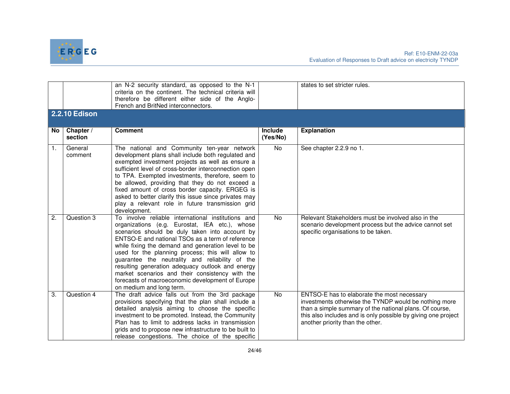

|                | <b>2.2.10 Edison</b> | an N-2 security standard, as opposed to the N-1<br>criteria on the continent. The technical criteria will<br>therefore be different either side of the Anglo-<br>French and BritNed interconnectors.                                                                                                                                                                                                                                                                                                                                                            |                     | states to set stricter rules.                                                                                                                                                                                                                                        |
|----------------|----------------------|-----------------------------------------------------------------------------------------------------------------------------------------------------------------------------------------------------------------------------------------------------------------------------------------------------------------------------------------------------------------------------------------------------------------------------------------------------------------------------------------------------------------------------------------------------------------|---------------------|----------------------------------------------------------------------------------------------------------------------------------------------------------------------------------------------------------------------------------------------------------------------|
|                |                      |                                                                                                                                                                                                                                                                                                                                                                                                                                                                                                                                                                 |                     |                                                                                                                                                                                                                                                                      |
| No.            | Chapter /<br>section | <b>Comment</b>                                                                                                                                                                                                                                                                                                                                                                                                                                                                                                                                                  | Include<br>(Yes/No) | <b>Explanation</b>                                                                                                                                                                                                                                                   |
| $\mathbf{1}$ . | General<br>comment   | The national and Community ten-year network<br>development plans shall include both regulated and<br>exempted investment projects as well as ensure a<br>sufficient level of cross-border interconnection open<br>to TPA. Exempted investments, therefore, seem to<br>be allowed, providing that they do not exceed a<br>fixed amount of cross border capacity. ERGEG is<br>asked to better clarify this issue since privates may<br>play a relevant role in future transmission grid<br>development.                                                           | No                  | See chapter 2.2.9 no 1.                                                                                                                                                                                                                                              |
| 2.             | Question 3           | To involve reliable international institutions and<br>organizations (e.g. Eurostat, IEA etc.), whose<br>scenarios should be duly taken into account by<br>ENTSO-E and national TSOs as a term of reference<br>while fixing the demand and generation level to be<br>used for the planning process; this will allow to<br>guarantee the neutrality and reliability of the<br>resulting generation adequacy outlook and energy<br>market scenarios and their consistency with the<br>forecasts of macroeconomic development of Europe<br>on medium and long term. | <b>No</b>           | Relevant Stakeholders must be involved also in the<br>scenario development process but the advice cannot set<br>specific organisations to be taken.                                                                                                                  |
| 3.             | Question 4           | The draft advice falls out from the 3rd package<br>provisions specifying that the plan shall include a<br>detailed analysis aiming to choose the specific<br>investment to be promoted. Instead, the Community<br>Plan has to limit to address lacks in transmission<br>grids and to propose new infrastructure to be built to<br>release congestions. The choice of the specific                                                                                                                                                                               | <b>No</b>           | ENTSO-E has to elaborate the most necessary<br>investments otherwise the TYNDP would be nothing more<br>than a simple summary of the national plans. Of course,<br>this also includes and is only possible by giving one project<br>another priority than the other. |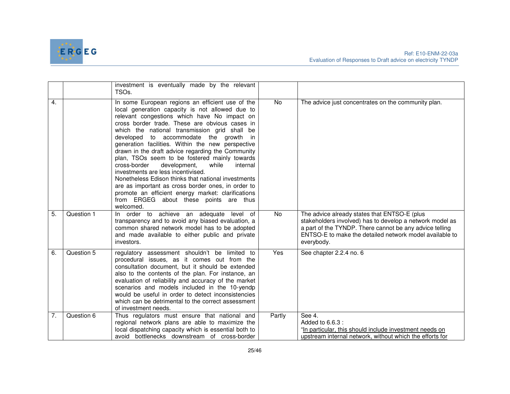

|                  |            | investment is eventually made by the relevant<br>TSO <sub>s</sub> .                                                                                                                                                                                                                                                                                                                                                                                                                                                                                                                                                                                                                                                                                                              |            |                                                                                                                                                                                                                                              |
|------------------|------------|----------------------------------------------------------------------------------------------------------------------------------------------------------------------------------------------------------------------------------------------------------------------------------------------------------------------------------------------------------------------------------------------------------------------------------------------------------------------------------------------------------------------------------------------------------------------------------------------------------------------------------------------------------------------------------------------------------------------------------------------------------------------------------|------------|----------------------------------------------------------------------------------------------------------------------------------------------------------------------------------------------------------------------------------------------|
| 4.               |            | In some European regions an efficient use of the<br>local generation capacity is not allowed due to<br>relevant congestions which have No impact on<br>cross border trade. These are obvious cases in<br>which the national transmission grid shall be<br>developed to accommodate the growth in<br>generation facilities. Within the new perspective<br>drawn in the draft advice regarding the Community<br>plan, TSOs seem to be fostered mainly towards<br>cross-border<br>development,<br>while<br>internal<br>investments are less incentivised.<br>Nonetheless Edison thinks that national investments<br>are as important as cross border ones, in order to<br>promote an efficient energy market: clarifications<br>from ERGEG about these points are thus<br>welcomed. | No         | The advice just concentrates on the community plan.                                                                                                                                                                                          |
| $\overline{5}$ . | Question 1 | In order to achieve an adequate<br>level of<br>transparency and to avoid any biased evaluation, a<br>common shared network model has to be adopted<br>and made available to either public and private<br>investors.                                                                                                                                                                                                                                                                                                                                                                                                                                                                                                                                                              | No         | The advice already states that ENTSO-E (plus<br>stakeholders involved) has to develop a network model as<br>a part of the TYNDP. There cannot be any advice telling<br>ENTSO-E to make the detailed network model available to<br>everybody. |
| 6.               | Question 5 | regulatory assessment shouldn't be limited to<br>procedural issues, as it comes out from the<br>consultation document, but it should be extended<br>also to the contents of the plan. For instance, an<br>evaluation of reliability and accuracy of the market<br>scenarios and models included in the 10-yendp<br>would be useful in order to detect inconsistencies<br>which can be detrimental to the correct assessment<br>of investment needs.                                                                                                                                                                                                                                                                                                                              | <b>Yes</b> | See chapter 2.2.4 no. 6                                                                                                                                                                                                                      |
| 7.               | Question 6 | Thus regulators must ensure that national and<br>regional network plans are able to maximize the<br>local dispatching capacity which is essential both to<br>avoid bottlenecks downstream of cross-border                                                                                                                                                                                                                                                                                                                                                                                                                                                                                                                                                                        | Partly     | See 4.<br>Added to 6.6.3 :<br>"In particular, this should include investment needs on<br>upstream internal network, without which the efforts for                                                                                            |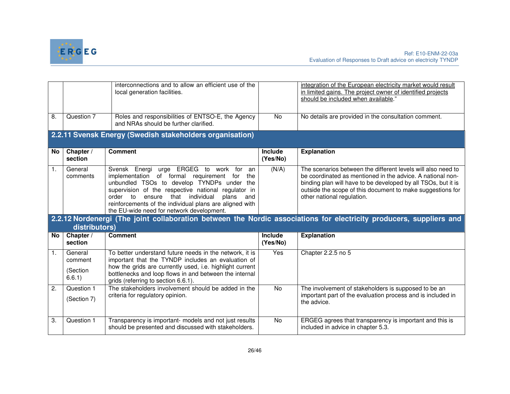

|                  |                           | interconnections and to allow an efficient use of the<br>local generation facilities.                                                                                                                                                                                                                                                                                     |                            | integration of the European electricity market would result<br>in limited gains. The project owner of identified projects<br>should be included when available."                                                                                                                        |
|------------------|---------------------------|---------------------------------------------------------------------------------------------------------------------------------------------------------------------------------------------------------------------------------------------------------------------------------------------------------------------------------------------------------------------------|----------------------------|-----------------------------------------------------------------------------------------------------------------------------------------------------------------------------------------------------------------------------------------------------------------------------------------|
| 8.               | Question 7                | Roles and responsibilities of ENTSO-E, the Agency<br>and NRAs should be further clarified.                                                                                                                                                                                                                                                                                | No                         | No details are provided in the consultation comment.                                                                                                                                                                                                                                    |
|                  |                           | 2.2.11 Svensk Energy (Swedish stakeholders organisation)                                                                                                                                                                                                                                                                                                                  |                            |                                                                                                                                                                                                                                                                                         |
| <b>No</b>        | Chapter /<br>section      | <b>Comment</b>                                                                                                                                                                                                                                                                                                                                                            | <b>Include</b><br>(Yes/No) | <b>Explanation</b>                                                                                                                                                                                                                                                                      |
| 1.               | General<br>comments       | Svensk Energi<br>urge ERGEG to work for<br>an<br>implementation of formal requirement<br>for<br>the<br>unbundled TSOs to develop TYNDPs under the<br>supervision of the respective national regulator in<br>order to<br>that individual<br>ensure<br>plans<br>and<br>reinforcements of the individual plans are aligned with<br>the EU-wide need for network development. | (N/A)                      | The scenarios between the different levels will also need to<br>be coordinated as mentioned in the advice. A national non-<br>binding plan will have to be developed by all TSOs, but it is<br>outside the scope of this document to make suggestions for<br>other national regulation. |
|                  | distributors)             |                                                                                                                                                                                                                                                                                                                                                                           |                            | 2.2.12 Nordenergi (The joint collaboration between the Nordic associations for electricity producers, suppliers and                                                                                                                                                                     |
| No               | Chapter /<br>section      | <b>Comment</b>                                                                                                                                                                                                                                                                                                                                                            | <b>Include</b><br>(Yes/No) | <b>Explanation</b>                                                                                                                                                                                                                                                                      |
| 1.               | General<br>comment        | To better understand future needs in the network, it is<br>important that the TYNDP includes an evaluation of<br>how the grids are currently used, i.e. highlight current                                                                                                                                                                                                 | Yes                        | Chapter 2.2.5 no 5                                                                                                                                                                                                                                                                      |
|                  | (Section<br>6.6.1)        | bottlenecks and loop flows in and between the internal<br>grids (referring to section 6.6.1).                                                                                                                                                                                                                                                                             |                            |                                                                                                                                                                                                                                                                                         |
| $\overline{2}$ . | Question 1<br>(Section 7) | The stakeholders involvement should be added in the<br>criteria for regulatory opinion.                                                                                                                                                                                                                                                                                   | No                         | The involvement of stakeholders is supposed to be an<br>important part of the evaluation process and is included in<br>the advice.                                                                                                                                                      |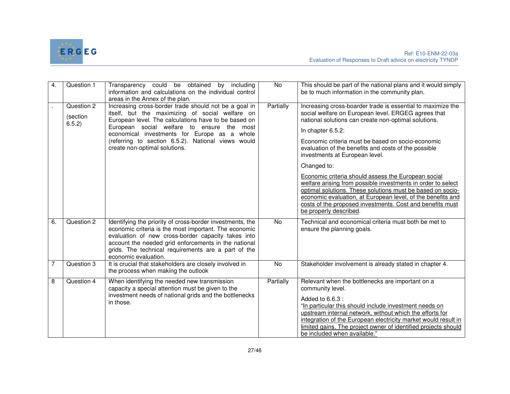

| 4. | Question 1                       | Transparency could be obtained<br>by including<br>information and calculations on the individual control<br>areas in the Annex of the plan.                                                                                                                                                                                                           | <b>No</b> | This should be part of the national plans and it would simply<br>be to much information in the community plan.                                                                                                                                                                                                                                                                                                                                                                                                                                                                                                                                                                                           |
|----|----------------------------------|-------------------------------------------------------------------------------------------------------------------------------------------------------------------------------------------------------------------------------------------------------------------------------------------------------------------------------------------------------|-----------|----------------------------------------------------------------------------------------------------------------------------------------------------------------------------------------------------------------------------------------------------------------------------------------------------------------------------------------------------------------------------------------------------------------------------------------------------------------------------------------------------------------------------------------------------------------------------------------------------------------------------------------------------------------------------------------------------------|
|    | Question 2<br>(section<br>6.5.2) | Increasing cross-border trade should not be a goal in<br>itself, but the maximizing of social welfare on<br>European level. The calculations have to be based on<br>European social welfare to ensure the most<br>economical investments for Europe as a whole<br>(referring to section 6.5.2). National views would<br>create non-optimal solutions. | Partially | Increasing cross-boarder trade is essential to maximize the<br>social welfare on European level. ERGEG agrees that<br>national solutions can create non-optimal solutions.<br>In chapter 6.5.2:<br>Economic criteria must be based on socio-economic<br>evaluation of the benefits and costs of the possible<br>investments at European level.<br>Changed to:<br>Economic criteria should assess the European social<br>welfare arising from possible investments in order to select<br>optimal solutions. These solutions must be based on socio-<br>economic evaluation, at European level, of the benefits and<br>costs of the proposed investments. Cost and benefits must<br>be properly described. |
| 6. | Question 2                       | Identifying the priority of cross-border investments, the<br>economic criteria is the most important. The economic<br>evaluation of new cross-border capacity takes into<br>account the needed grid enforcements in the national<br>grids. The technical requirements are a part of the<br>economic evaluation.                                       | <b>No</b> | Technical and economical criteria must both be met to<br>ensure the planning goals.                                                                                                                                                                                                                                                                                                                                                                                                                                                                                                                                                                                                                      |
| 7  | Question 3                       | It is crucial that stakeholders are closely involved in<br>the process when making the outlook                                                                                                                                                                                                                                                        | <b>No</b> | Stakeholder involvement is already stated in chapter 4.                                                                                                                                                                                                                                                                                                                                                                                                                                                                                                                                                                                                                                                  |
| 8  | Question 4                       | When identifying the needed new transmission<br>capacity a special attention must be given to the<br>investment needs of national grids and the bottlenecks<br>in those.                                                                                                                                                                              | Partially | Relevant when the bottlenecks are important on a<br>community level.<br>Added to 6.6.3 :<br>"In particular this should include investment needs on<br>upstream internal network, without which the efforts for<br>integration of the European electricity market would result in<br>limited gains. The project owner of identified projects should<br>be included when available."                                                                                                                                                                                                                                                                                                                       |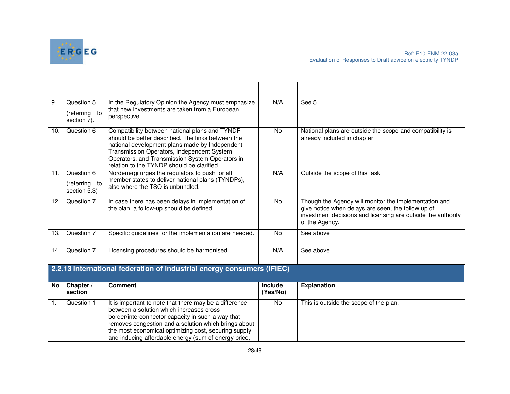

| 9   | Question 5<br>(referring to<br>section 7).  | In the Regulatory Opinion the Agency must emphasize<br>that new investments are taken from a European<br>perspective                                                                                                                                                                                                             | N/A                        | See 5.                                                                                                                                                                                        |
|-----|---------------------------------------------|----------------------------------------------------------------------------------------------------------------------------------------------------------------------------------------------------------------------------------------------------------------------------------------------------------------------------------|----------------------------|-----------------------------------------------------------------------------------------------------------------------------------------------------------------------------------------------|
| 10. | Question 6                                  | Compatibility between national plans and TYNDP<br>should be better described. The links between the<br>national development plans made by Independent<br>Transmission Operators, Independent System<br>Operators, and Transmission System Operators in<br>relation to the TYNDP should be clarified.                             | No                         | National plans are outside the scope and compatibility is<br>already included in chapter.                                                                                                     |
| 11. | Question 6<br>(referring to<br>section 5.3) | Nordenergi urges the regulators to push for all<br>member states to deliver national plans (TYNDPs),<br>also where the TSO is unbundled.                                                                                                                                                                                         | N/A                        | Outside the scope of this task.                                                                                                                                                               |
| 12. | Question 7                                  | In case there has been delays in implementation of<br>the plan, a follow-up should be defined.                                                                                                                                                                                                                                   | <b>No</b>                  | Though the Agency will monitor the implementation and<br>give notice when delays are seen, the follow up of<br>investment decisions and licensing are outside the authority<br>of the Agency. |
| 13. | Question 7                                  | Specific guidelines for the implementation are needed.                                                                                                                                                                                                                                                                           | No                         | See above                                                                                                                                                                                     |
| 14. | Question 7                                  | Licensing procedures should be harmonised                                                                                                                                                                                                                                                                                        | N/A                        | See above                                                                                                                                                                                     |
|     |                                             | 2.2.13 International federation of industrial energy consumers (IFIEC)                                                                                                                                                                                                                                                           |                            |                                                                                                                                                                                               |
| No  | Chapter /<br>section                        | <b>Comment</b>                                                                                                                                                                                                                                                                                                                   | <b>Include</b><br>(Yes/No) | <b>Explanation</b>                                                                                                                                                                            |
| 1.  | Question 1                                  | It is important to note that there may be a difference<br>between a solution which increases cross-<br>border/interconnector capacity in such a way that<br>removes congestion and a solution which brings about<br>the most economical optimizing cost, securing supply<br>and inducing affordable energy (sum of energy price, | No                         | This is outside the scope of the plan.                                                                                                                                                        |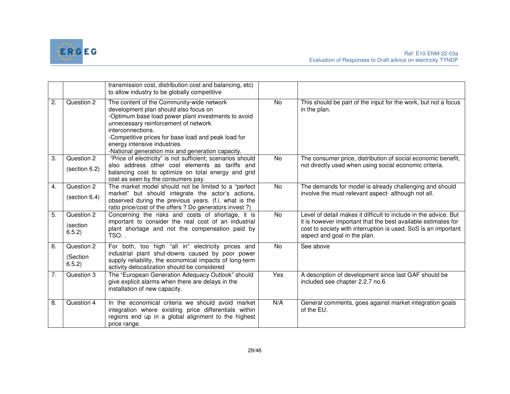

|                  |                                  | transmission cost, distribution cost and balancing, etc)<br>to allow industry to be globally competitive                                                                                                                                                                                                                                           |            |                                                                                                                                                                                                                                     |
|------------------|----------------------------------|----------------------------------------------------------------------------------------------------------------------------------------------------------------------------------------------------------------------------------------------------------------------------------------------------------------------------------------------------|------------|-------------------------------------------------------------------------------------------------------------------------------------------------------------------------------------------------------------------------------------|
| $\overline{2}$ . | Question 2                       | The content of the Community-wide network<br>development plan should also focus on<br>-Optimum base load power plant investments to avoid<br>unnecessary reinforcement of network<br>interconnections.<br>-Competitive prices for base load and peak load for<br>energy intensive industries.<br>-National generation mix and generation capacity. | No         | This should be part of the input for the work, but not a focus<br>in the plan.                                                                                                                                                      |
| 3.               | Question 2<br>(section 6.2)      | "Price of electricity" is not sufficient; scenarios should<br>also address other cost elements as tariffs and<br>balancing cost to optimize on total energy and grid<br>cost as seen by the consumers pay.                                                                                                                                         | No         | The consumer price, distribution of social economic benefit,<br>not directly used when using social economic criteria.                                                                                                              |
| 4.               | Question 2<br>(section 6.4)      | The market model should not be limited to a "perfect<br>market" but should integrate the actor's actions,<br>observed during the previous years. (f.i. what is the<br>ratio price/cost of the offers ? Do generators invest ?)                                                                                                                     | No         | The demands for model is already challenging and should<br>involve the must relevant aspect- although not all.                                                                                                                      |
| 5.               | Question 2<br>(section<br>6.5.2) | Concerning the risks and costs of shortage, it is<br>important to consider the real cost of an industrial<br>plant shortage and not the compensation paid by<br>TSO                                                                                                                                                                                | <b>No</b>  | Level of detail makes it difficult to include in the advice. But<br>it is however important that the best available estimates for<br>cost to society with interruption is used. SoS is an important<br>aspect and goal in the plan. |
| 6.               | Question 2<br>(Section<br>6.5.2) | For both, too high "all in" electricity prices and<br>industrial plant shut-downs caused by poor power<br>supply reliability, the economical impacts of long-term<br>activity delocalization should be considered                                                                                                                                  | No         | See above                                                                                                                                                                                                                           |
| 7.               | Question 3                       | The "European Generation Adequacy Outlook" should<br>give explicit alarms when there are delays in the<br>installation of new capacity.                                                                                                                                                                                                            | <b>Yes</b> | A description of development since last GAF should be<br>included see chapter 2.2.7 no.6.                                                                                                                                           |
| 8.               | Question 4                       | In the economical criteria we should avoid market<br>integration where existing price differentials within<br>regions end up in a global alignment to the highest<br>price range.                                                                                                                                                                  | N/A        | General comments, goes against market integration goals<br>of the EU.                                                                                                                                                               |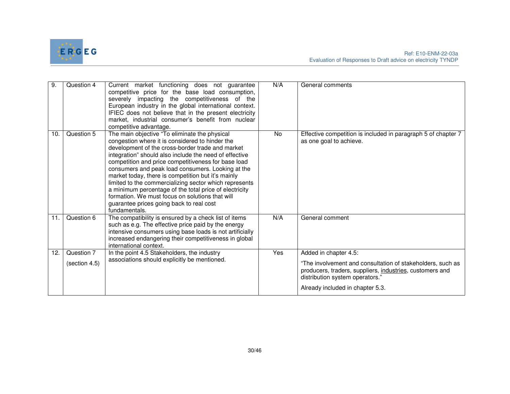

| 9.  | Question 4    | Current market functioning does not guarantee<br>competitive price for the base load consumption,<br>severely impacting the competitiveness of the<br>European industry in the global international context.<br>IFIEC does not believe that in the present electricity<br>market, industrial consumer's benefit from nuclear<br>competitive advantage.                                                                                                                                                                                                                                                               | N/A       | General comments                                                                                                                                          |
|-----|---------------|----------------------------------------------------------------------------------------------------------------------------------------------------------------------------------------------------------------------------------------------------------------------------------------------------------------------------------------------------------------------------------------------------------------------------------------------------------------------------------------------------------------------------------------------------------------------------------------------------------------------|-----------|-----------------------------------------------------------------------------------------------------------------------------------------------------------|
| 10. | Question 5    | The main objective "To eliminate the physical<br>congestion where it is considered to hinder the<br>development of the cross-border trade and market<br>integration" should also include the need of effective<br>competition and price competitiveness for base load<br>consumers and peak load consumers. Looking at the<br>market today, there is competition but it's mainly<br>limited to the commercializing sector which represents<br>a minimum percentage of the total price of electricity<br>formation. We must focus on solutions that will<br>guarantee prices going back to real cost<br>fundamentals. | <b>No</b> | Effective competition is included in paragraph 5 of chapter 7<br>as one goal to achieve.                                                                  |
| 11. | Question 6    | The compatibility is ensured by a check list of items<br>such as e.g. The effective price paid by the energy<br>intensive consumers using base loads is not artificially<br>increased endangering their competitiveness in global<br>international context.                                                                                                                                                                                                                                                                                                                                                          | N/A       | General comment                                                                                                                                           |
| 12. | Question 7    | In the point 4.5 Stakeholders, the industry                                                                                                                                                                                                                                                                                                                                                                                                                                                                                                                                                                          | Yes       | Added in chapter 4.5:                                                                                                                                     |
|     | (section 4.5) | associations should explicitly be mentioned.                                                                                                                                                                                                                                                                                                                                                                                                                                                                                                                                                                         |           | "The involvement and consultation of stakeholders, such as<br>producers, traders, suppliers, industries, customers and<br>distribution system operators." |
|     |               |                                                                                                                                                                                                                                                                                                                                                                                                                                                                                                                                                                                                                      |           | Already included in chapter 5.3.                                                                                                                          |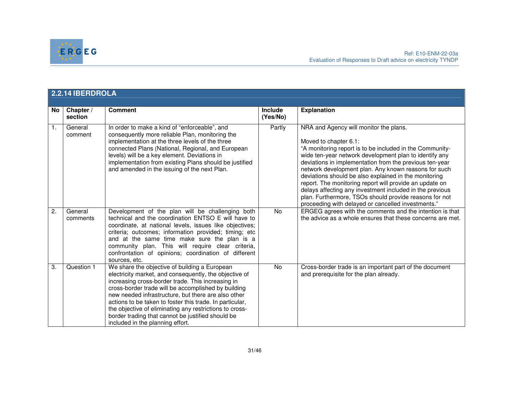

|    | 2.2.14 IBERDROLA     |                                                                                                                                                                                                                                                                                                                                                                                                                                                                                            |                            |                                                                                                                                                                                                                                                                                                                                                                                                                                                                                                                                                                                                          |  |
|----|----------------------|--------------------------------------------------------------------------------------------------------------------------------------------------------------------------------------------------------------------------------------------------------------------------------------------------------------------------------------------------------------------------------------------------------------------------------------------------------------------------------------------|----------------------------|----------------------------------------------------------------------------------------------------------------------------------------------------------------------------------------------------------------------------------------------------------------------------------------------------------------------------------------------------------------------------------------------------------------------------------------------------------------------------------------------------------------------------------------------------------------------------------------------------------|--|
| No | Chapter /<br>section | <b>Comment</b>                                                                                                                                                                                                                                                                                                                                                                                                                                                                             | <b>Include</b><br>(Yes/No) | <b>Explanation</b>                                                                                                                                                                                                                                                                                                                                                                                                                                                                                                                                                                                       |  |
| 1. | General<br>comment   | In order to make a kind of "enforceable", and<br>consequently more reliable Plan, monitoring the<br>implementation at the three levels of the three<br>connected Plans (National, Regional, and European<br>levels) will be a key element. Deviations in<br>implementation from existing Plans should be justified<br>and amended in the issuing of the next Plan.                                                                                                                         | Partly                     | NRA and Agency will monitor the plans.<br>Moved to chapter 6.1:<br>"A monitoring report is to be included in the Community-<br>wide ten-year network development plan to identify any<br>deviations in implementation from the previous ten-year<br>network development plan. Any known reasons for such<br>deviations should be also explained in the monitoring<br>report. The monitoring report will provide an update on<br>delays affecting any investment included in the previous<br>plan. Furthermore, TSOs should provide reasons for not<br>proceeding with delayed or cancelled investments." |  |
| 2. | General<br>comments  | Development of the plan will be challenging both<br>technical and the coordination ENTSO E will have to<br>coordinate, at national levels, issues like objectives;<br>criteria; outcomes; information provided; timing; etc<br>and at the same time make sure the plan is a<br>community plan. This will require clear criteria,<br>confrontation of opinions; coordination of different<br>sources, etc.                                                                                  | <b>No</b>                  | ERGEG agrees with the comments and the intention is that<br>the advice as a whole ensures that these concerns are met.                                                                                                                                                                                                                                                                                                                                                                                                                                                                                   |  |
| 3. | Question 1           | We share the objective of building a European<br>electricity market, and consequently, the objective of<br>increasing cross-border trade. This increasing in<br>cross-border trade will be accomplished by building<br>new needed infrastructure, but there are also other<br>actions to be taken to foster this trade. In particular,<br>the objective of eliminating any restrictions to cross-<br>border trading that cannot be justified should be<br>included in the planning effort. | $\overline{N}$             | Cross-border trade is an important part of the document<br>and prerequisite for the plan already.                                                                                                                                                                                                                                                                                                                                                                                                                                                                                                        |  |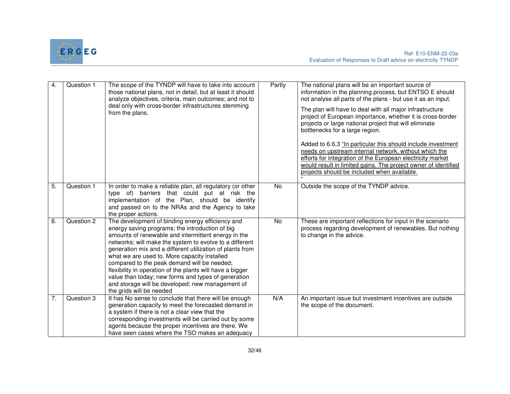

| 4.               | Question 1 | The scope of the TYNDP will have to take into account<br>those national plans, not in detail, but at least it should<br>analyze objectives, criteria, main outcomes; and not to<br>deal only with cross-border infrastructures stemming<br>from the plans.                                                                                                                                                                                                                                                                                                                            | Partly | The national plans will be an important source of<br>information in the planning process, but ENTSO E should<br>not analyse all parts of the plans - but use it as an input.<br>The plan will have to deal with all major infrastructure<br>project of European importance, whether it is cross-border<br>projects or large national project that will eliminate<br>bottlenecks for a large region.<br>Added to 6.6.3 "In particular this should include investment<br>needs on upstream internal network, without which the<br>efforts for integration of the European electricity market<br>would result in limited gains. The project owner of identified<br>projects should be included when available. |
|------------------|------------|---------------------------------------------------------------------------------------------------------------------------------------------------------------------------------------------------------------------------------------------------------------------------------------------------------------------------------------------------------------------------------------------------------------------------------------------------------------------------------------------------------------------------------------------------------------------------------------|--------|-------------------------------------------------------------------------------------------------------------------------------------------------------------------------------------------------------------------------------------------------------------------------------------------------------------------------------------------------------------------------------------------------------------------------------------------------------------------------------------------------------------------------------------------------------------------------------------------------------------------------------------------------------------------------------------------------------------|
| $\overline{5}$ . | Question 1 | In order to make a reliable plan, all regulatory (or other<br>type of) barriers that could put at risk the<br>implementation of the Plan, should be identify<br>and passed on to the NRAs and the Agency to take<br>the proper actions.                                                                                                                                                                                                                                                                                                                                               | No.    | Outside the scope of the TYNDP advice.                                                                                                                                                                                                                                                                                                                                                                                                                                                                                                                                                                                                                                                                      |
| 6.               | Question 2 | The development of binding energy efficiency and<br>energy saving programs; the introduction of big<br>amounts of renewable and intermittent energy in the<br>networks; will make the system to evolve to a different<br>generation mix and a different utilization of plants from<br>what we are used to. More capacity installed<br>compared to the peak demand will be needed;<br>flexibility in operation of the plants will have a bigger<br>value than today; new forms and types of generation<br>and storage will be developed; new management of<br>the grids will be needed | No     | These are important reflections for input in the scenario<br>process regarding development of renewables. But nothing<br>to change in the advice.                                                                                                                                                                                                                                                                                                                                                                                                                                                                                                                                                           |
| 7.               | Question 3 | It has No sense to conclude that there will be enough<br>generation capacity to meet the forecasted demand in<br>a system if there is not a clear view that the<br>corresponding investments will be carried out by some<br>agents because the proper incentives are there. We<br>have seen cases where the TSO makes an adequacy                                                                                                                                                                                                                                                     | N/A    | An important issue but investment incentives are outside<br>the scope of the document.                                                                                                                                                                                                                                                                                                                                                                                                                                                                                                                                                                                                                      |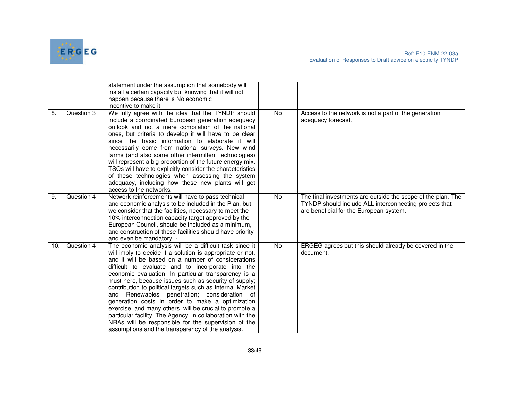

|     |            | statement under the assumption that somebody will<br>install a certain capacity but knowing that it will not<br>happen because there is No economic<br>incentive to make it.                                                                                                                                                                                                                                                                                                                                                                                                                                                                                                                                                                           |           |                                                                                                                                                                   |
|-----|------------|--------------------------------------------------------------------------------------------------------------------------------------------------------------------------------------------------------------------------------------------------------------------------------------------------------------------------------------------------------------------------------------------------------------------------------------------------------------------------------------------------------------------------------------------------------------------------------------------------------------------------------------------------------------------------------------------------------------------------------------------------------|-----------|-------------------------------------------------------------------------------------------------------------------------------------------------------------------|
| 8.  | Question 3 | We fully agree with the idea that the TYNDP should<br>include a coordinated European generation adequacy<br>outlook and not a mere compilation of the national<br>ones, but criteria to develop it will have to be clear<br>since the basic information to elaborate it will<br>necessarily come from national surveys. New wind<br>farms (and also some other intermittent technologies)<br>will represent a big proportion of the future energy mix.<br>TSOs will have to explicitly consider the characteristics<br>of these technologies when assessing the system<br>adequacy, including how these new plants will get<br>access to the networks.                                                                                                 | <b>No</b> | Access to the network is not a part of the generation<br>adequacy forecast.                                                                                       |
| 9.  | Question 4 | Network reinforcements will have to pass technical<br>and economic analysis to be included in the Plan, but<br>we consider that the facilities, necessary to meet the<br>10% interconnection capacity target approved by the<br>European Council, should be included as a minimum,<br>and construction of these facilities should have priority<br>and even be mandatory. .                                                                                                                                                                                                                                                                                                                                                                            | <b>No</b> | The final investments are outside the scope of the plan. The<br>TYNDP should include ALL interconnecting projects that<br>are beneficial for the European system. |
| 10. | Question 4 | The economic analysis will be a difficult task since it<br>will imply to decide if a solution is appropriate or not,<br>and it will be based on a number of considerations<br>difficult to evaluate and to incorporate into the<br>economic evaluation. In particular transparency is a<br>must here, because issues such as security of supply;<br>contribution to political targets such as Internal Market<br>and Renewables penetration; consideration of<br>generation costs in order to make a optimization<br>exercise, and many others, will be crucial to promote a<br>particular facility. The Agency, in collaboration with the<br>NRAs will be responsible for the supervision of the<br>assumptions and the transparency of the analysis. | <b>No</b> | ERGEG agrees but this should already be covered in the<br>document.                                                                                               |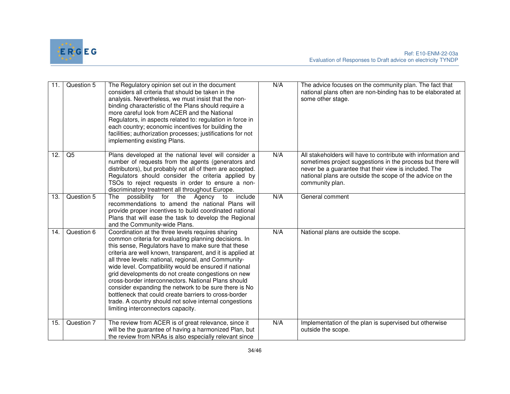

| 11. | Question 5 | The Regulatory opinion set out in the document<br>considers all criteria that should be taken in the<br>analysis. Nevertheless, we must insist that the non-<br>binding characteristic of the Plans should require a<br>more careful look from ACER and the National<br>Regulators, in aspects related to: regulation in force in<br>each country; economic incentives for building the<br>facilities; authorization processes; justifications for not<br>implementing existing Plans.                                                                                                                                                                                           | N/A | The advice focuses on the community plan. The fact that<br>national plans often are non-binding has to be elaborated at<br>some other stage.                                                                                                                          |
|-----|------------|----------------------------------------------------------------------------------------------------------------------------------------------------------------------------------------------------------------------------------------------------------------------------------------------------------------------------------------------------------------------------------------------------------------------------------------------------------------------------------------------------------------------------------------------------------------------------------------------------------------------------------------------------------------------------------|-----|-----------------------------------------------------------------------------------------------------------------------------------------------------------------------------------------------------------------------------------------------------------------------|
| 12. | Q5         | Plans developed at the national level will consider a<br>number of requests from the agents (generators and<br>distributors), but probably not all of them are accepted.<br>Regulators should consider the criteria applied by<br>TSOs to reject requests in order to ensure a non-<br>discriminatory treatment all throughout Europe.                                                                                                                                                                                                                                                                                                                                           | N/A | All stakeholders will have to contribute with information and<br>sometimes project suggestions in the process but there will<br>never be a guarantee that their view is included. The<br>national plans are outside the scope of the advice on the<br>community plan. |
| 13. | Question 5 | possibility for the Agency<br>include<br>The<br>to<br>recommendations to amend the national Plans will<br>provide proper incentives to build coordinated national<br>Plans that will ease the task to develop the Regional<br>and the Community-wide Plans.                                                                                                                                                                                                                                                                                                                                                                                                                      | N/A | General comment                                                                                                                                                                                                                                                       |
| 14. | Question 6 | Coordination at the three levels requires sharing<br>common criteria for evaluating planning decisions. In<br>this sense, Regulators have to make sure that these<br>criteria are well known, transparent, and it is applied at<br>all three levels: national, regional, and Community-<br>wide level. Compatibility would be ensured if national<br>grid developments do not create congestions on new<br>cross-border interconnectors. National Plans should<br>consider expanding the network to be sure there is No<br>bottleneck that could create barriers to cross-border<br>trade. A country should not solve internal congestions<br>limiting interconnectors capacity. | N/A | National plans are outside the scope.                                                                                                                                                                                                                                 |
| 15. | Question 7 | The review from ACER is of great relevance, since it<br>will be the guarantee of having a harmonized Plan, but<br>the review from NRAs is also especially relevant since                                                                                                                                                                                                                                                                                                                                                                                                                                                                                                         | N/A | Implementation of the plan is supervised but otherwise<br>outside the scope.                                                                                                                                                                                          |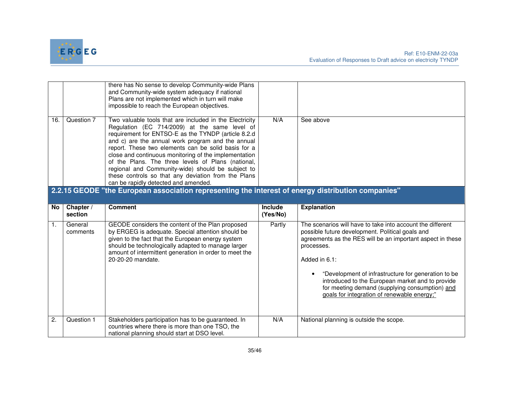

|                |                                                                                                    | there has No sense to develop Community-wide Plans<br>and Community-wide system adequacy if national<br>Plans are not implemented which in turn will make<br>impossible to reach the European objectives.                                                                                                                                                                                                                                                                                                                                      |                            |                                                                                                                                                                                                                                                                                                                                                                                                                         |  |
|----------------|----------------------------------------------------------------------------------------------------|------------------------------------------------------------------------------------------------------------------------------------------------------------------------------------------------------------------------------------------------------------------------------------------------------------------------------------------------------------------------------------------------------------------------------------------------------------------------------------------------------------------------------------------------|----------------------------|-------------------------------------------------------------------------------------------------------------------------------------------------------------------------------------------------------------------------------------------------------------------------------------------------------------------------------------------------------------------------------------------------------------------------|--|
| 16.            | Question 7                                                                                         | Two valuable tools that are included in the Electricity<br>Regulation (EC 714/2009) at the same level of<br>requirement for ENTSO-E as the TYNDP (article 8.2.d<br>and c) are the annual work program and the annual<br>report. These two elements can be solid basis for a<br>close and continuous monitoring of the implementation<br>of the Plans. The three levels of Plans (national,<br>regional and Community-wide) should be subject to<br>these controls so that any deviation from the Plans<br>can be rapidly detected and amended. | N/A                        | See above                                                                                                                                                                                                                                                                                                                                                                                                               |  |
|                | 2.2.15 GEODE "the European association representing the interest of energy distribution companies" |                                                                                                                                                                                                                                                                                                                                                                                                                                                                                                                                                |                            |                                                                                                                                                                                                                                                                                                                                                                                                                         |  |
| No.            | Chapter /<br>section                                                                               | <b>Comment</b>                                                                                                                                                                                                                                                                                                                                                                                                                                                                                                                                 | <b>Include</b><br>(Yes/No) | <b>Explanation</b>                                                                                                                                                                                                                                                                                                                                                                                                      |  |
| $\mathbf{1}$ . | General<br>comments                                                                                | GEODE considers the content of the Plan proposed<br>by ERGEG is adequate. Special attention should be<br>given to the fact that the European energy system<br>should be technologically adapted to manage larger<br>amount of intermittent generation in order to meet the<br>20-20-20 mandate.                                                                                                                                                                                                                                                | Partly                     | The scenarios will have to take into account the different<br>possible future development. Political goals and<br>agreements as the RES will be an important aspect in these<br>processes.<br>Added in 6.1:<br>"Development of infrastructure for generation to be<br>introduced to the European market and to provide<br>for meeting demand (supplying consumption) and<br>goals for integration of renewable energy;" |  |
| 2.             | Question 1                                                                                         | Stakeholders participation has to be guaranteed. In<br>countries where there is more than one TSO, the<br>national planning should start at DSO level.                                                                                                                                                                                                                                                                                                                                                                                         | N/A                        | National planning is outside the scope.                                                                                                                                                                                                                                                                                                                                                                                 |  |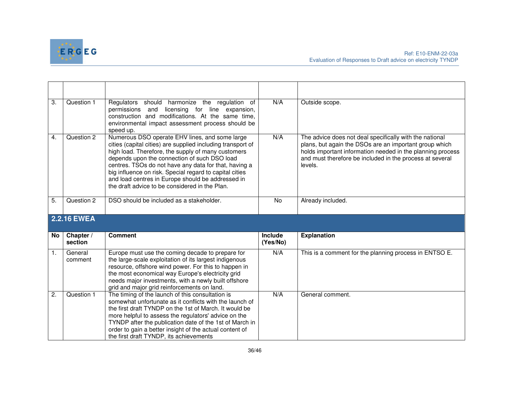

| $\overline{3}$ . | Question 1           | Regulators should harmonize the regulation of<br>licensing for line expansion,<br>permissions and<br>construction and modifications. At the same time,<br>environmental impact assessment process should be<br>speed up.                                                                                                                                                                                                                       | N/A                        | Outside scope.                                                                                                                                                                                                                                         |
|------------------|----------------------|------------------------------------------------------------------------------------------------------------------------------------------------------------------------------------------------------------------------------------------------------------------------------------------------------------------------------------------------------------------------------------------------------------------------------------------------|----------------------------|--------------------------------------------------------------------------------------------------------------------------------------------------------------------------------------------------------------------------------------------------------|
| $\overline{4}$ . | Question 2           | Numerous DSO operate EHV lines, and some large<br>cities (capital cities) are supplied including transport of<br>high load. Therefore, the supply of many customers<br>depends upon the connection of such DSO load<br>centres. TSOs do not have any data for that, having a<br>big influence on risk. Special regard to capital cities<br>and load centres in Europe should be addressed in<br>the draft advice to be considered in the Plan. | N/A                        | The advice does not deal specifically with the national<br>plans, but again the DSOs are an important group which<br>holds important information needed in the planning process<br>and must therefore be included in the process at several<br>levels. |
| 5.               | Question 2           | DSO should be included as a stakeholder.                                                                                                                                                                                                                                                                                                                                                                                                       | No                         | Already included.                                                                                                                                                                                                                                      |
|                  |                      |                                                                                                                                                                                                                                                                                                                                                                                                                                                |                            |                                                                                                                                                                                                                                                        |
|                  | 2.2.16 EWEA          |                                                                                                                                                                                                                                                                                                                                                                                                                                                |                            |                                                                                                                                                                                                                                                        |
| No               | Chapter /<br>section | <b>Comment</b>                                                                                                                                                                                                                                                                                                                                                                                                                                 | <b>Include</b><br>(Yes/No) | <b>Explanation</b>                                                                                                                                                                                                                                     |
| $\overline{1}$ . | General<br>comment   | Europe must use the coming decade to prepare for<br>the large-scale exploitation of its largest indigenous<br>resource, offshore wind power. For this to happen in<br>the most economical way Europe's electricity grid<br>needs major investments, with a newly built offshore<br>grid and major grid reinforcements on land.                                                                                                                 | N/A                        | This is a comment for the planning process in ENTSO E.                                                                                                                                                                                                 |
| $\overline{2}$ . | Question 1           | The timing of the launch of this consultation is<br>somewhat unfortunate as it conflicts with the launch of<br>the first draft TYNDP on the 1st of March. It would be<br>more helpful to assess the regulators' advice on the<br>TYNDP after the publication date of the 1st of March in                                                                                                                                                       | N/A                        | General comment.                                                                                                                                                                                                                                       |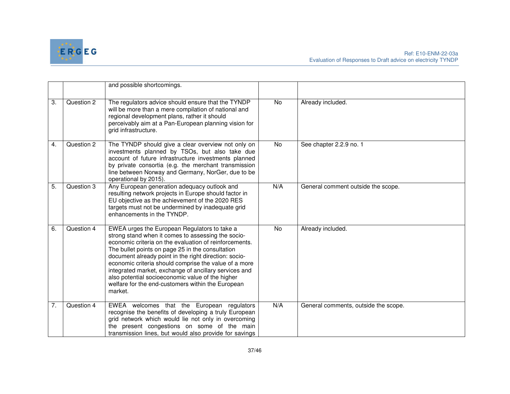

|                  |            | and possible shortcomings.                                                                                                                                                                                                                                                                                                                                                                                                                                                                                      |           |                                      |
|------------------|------------|-----------------------------------------------------------------------------------------------------------------------------------------------------------------------------------------------------------------------------------------------------------------------------------------------------------------------------------------------------------------------------------------------------------------------------------------------------------------------------------------------------------------|-----------|--------------------------------------|
| 3.               | Question 2 | The regulators advice should ensure that the TYNDP<br>will be more than a mere compilation of national and<br>regional development plans, rather it should<br>perceivably aim at a Pan-European planning vision for<br>grid infrastructure.                                                                                                                                                                                                                                                                     | No.       | Already included.                    |
| 4.               | Question 2 | The TYNDP should give a clear overview not only on<br>investments planned by TSOs, but also take due<br>account of future infrastructure investments planned<br>by private consortia (e.g. the merchant transmission<br>line between Norway and Germany, NorGer, due to be<br>operational by 2015).                                                                                                                                                                                                             | No        | See chapter 2.2.9 no. 1              |
| $\overline{5}$ . | Question 3 | Any European generation adequacy outlook and<br>resulting network projects in Europe should factor in<br>EU objective as the achievement of the 2020 RES<br>targets must not be undermined by inadequate grid<br>enhancements in the TYNDP.                                                                                                                                                                                                                                                                     | N/A       | General comment outside the scope.   |
| 6.               | Question 4 | EWEA urges the European Regulators to take a<br>strong stand when it comes to assessing the socio-<br>economic criteria on the evaluation of reinforcements.<br>The bullet points on page 25 in the consultation<br>document already point in the right direction: socio-<br>economic criteria should comprise the value of a more<br>integrated market, exchange of ancillary services and<br>also potential socioeconomic value of the higher<br>welfare for the end-customers within the European<br>market. | <b>No</b> | Already included.                    |
| 7.               | Question 4 | EWEA welcomes that the European regulators<br>recognise the benefits of developing a truly European<br>grid network which would lie not only in overcoming<br>the present congestions on some of the main<br>transmission lines, but would also provide for savings                                                                                                                                                                                                                                             | N/A       | General comments, outside the scope. |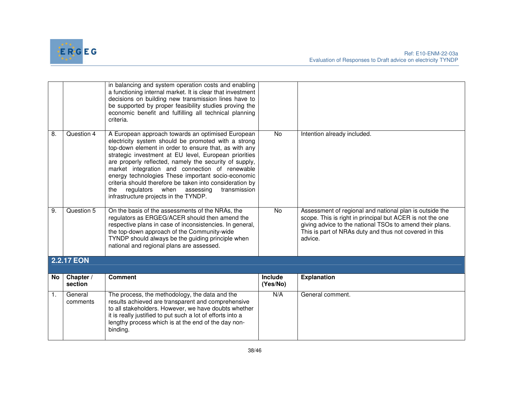

|                |                      | in balancing and system operation costs and enabling<br>a functioning internal market. It is clear that investment<br>decisions on building new transmission lines have to<br>be supported by proper feasibility studies proving the<br>economic benefit and fulfilling all technical planning<br>criteria.                                                                                                                                                                                                                                           |                     |                                                                                                                                                                                                                                                       |
|----------------|----------------------|-------------------------------------------------------------------------------------------------------------------------------------------------------------------------------------------------------------------------------------------------------------------------------------------------------------------------------------------------------------------------------------------------------------------------------------------------------------------------------------------------------------------------------------------------------|---------------------|-------------------------------------------------------------------------------------------------------------------------------------------------------------------------------------------------------------------------------------------------------|
| 8.             | Question 4           | A European approach towards an optimised European<br>electricity system should be promoted with a strong<br>top-down element in order to ensure that, as with any<br>strategic investment at EU level, European priorities<br>are properly reflected, namely the security of supply,<br>market integration and connection of renewable<br>energy technologies These important socio-economic<br>criteria should therefore be taken into consideration by<br>regulators when assessing<br>transmission<br>the<br>infrastructure projects in the TYNDP. | <b>No</b>           | Intention already included.                                                                                                                                                                                                                           |
| 9.             | Question 5           | On the basis of the assessments of the NRAs, the<br>regulators as ERGEG/ACER should then amend the<br>respective plans in case of inconsistencies. In general,<br>the top-down approach of the Community-wide<br>TYNDP should always be the guiding principle when<br>national and regional plans are assessed.                                                                                                                                                                                                                                       | No                  | Assessment of regional and national plan is outside the<br>scope. This is right in principal but ACER is not the one<br>giving advice to the national TSOs to amend their plans.<br>This is part of NRAs duty and thus not covered in this<br>advice. |
|                | <b>2.2.17 EON</b>    |                                                                                                                                                                                                                                                                                                                                                                                                                                                                                                                                                       |                     |                                                                                                                                                                                                                                                       |
| No             | Chapter /<br>section | <b>Comment</b>                                                                                                                                                                                                                                                                                                                                                                                                                                                                                                                                        | Include<br>(Yes/No) | <b>Explanation</b>                                                                                                                                                                                                                                    |
| $\mathbf{1}$ . | General<br>comments  | The process, the methodology, the data and the<br>results achieved are transparent and comprehensive<br>to all stakeholders. However, we have doubts whether<br>it is really justified to put such a lot of efforts into a<br>lengthy process which is at the end of the day non-<br>binding.                                                                                                                                                                                                                                                         | N/A                 | General comment.                                                                                                                                                                                                                                      |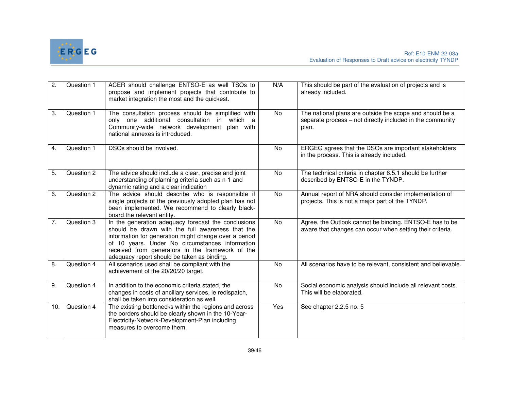

| 2.               | Question 1 | ACER should challenge ENTSO-E as well TSOs to<br>propose and implement projects that contribute to<br>market integration the most and the quickest.                                                                                                                                                                    | N/A       | This should be part of the evaluation of projects and is<br>already included.                                                  |
|------------------|------------|------------------------------------------------------------------------------------------------------------------------------------------------------------------------------------------------------------------------------------------------------------------------------------------------------------------------|-----------|--------------------------------------------------------------------------------------------------------------------------------|
| 3.               | Question 1 | The consultation process should be simplified with<br>only one additional consultation in which a<br>Community-wide network development plan with<br>national annexes is introduced.                                                                                                                                   | <b>No</b> | The national plans are outside the scope and should be a<br>separate process – not directly included in the community<br>plan. |
| $\overline{4}$ . | Question 1 | DSOs should be involved.                                                                                                                                                                                                                                                                                               | No        | ERGEG agrees that the DSOs are important stakeholders<br>in the process. This is already included.                             |
| 5.               | Question 2 | The advice should include a clear, precise and joint<br>understanding of planning criteria such as n-1 and<br>dynamic rating and a clear indication                                                                                                                                                                    | No        | The technical criteria in chapter 6.5.1 should be further<br>described by ENTSO-E in the TYNDP.                                |
| 6.               | Question 2 | The advice should describe who is responsible if<br>single projects of the previously adopted plan has not<br>been implemented. We recommend to clearly black-<br>board the relevant entity.                                                                                                                           | No        | Annual report of NRA should consider implementation of<br>projects. This is not a major part of the TYNDP.                     |
| $\overline{7}$ . | Question 3 | In the generation adequacy forecast the conclusions<br>should be drawn with the full awareness that the<br>information for generation might change over a period<br>of 10 years. Under No circumstances information<br>received from generators in the framework of the<br>adequacy report should be taken as binding. | No        | Agree, the Outlook cannot be binding. ENTSO-E has to be<br>aware that changes can occur when setting their criteria.           |
| 8.               | Question 4 | All scenarios used shall be compliant with the<br>achievement of the 20/20/20 target.                                                                                                                                                                                                                                  | No        | All scenarios have to be relevant, consistent and believable.                                                                  |
| 9.               | Question 4 | In addition to the economic criteria stated, the<br>changes in costs of ancillary services, ie redispatch,<br>shall be taken into consideration as well.                                                                                                                                                               | No        | Social economic analysis should include all relevant costs.<br>This will be elaborated.                                        |
| 10.              | Question 4 | The existing bottlenecks within the regions and across<br>the borders should be clearly shown in the 10-Year-<br>Electricity-Network-Development-Plan including<br>measures to overcome them.                                                                                                                          | Yes       | See chapter 2.2.5 no. 5                                                                                                        |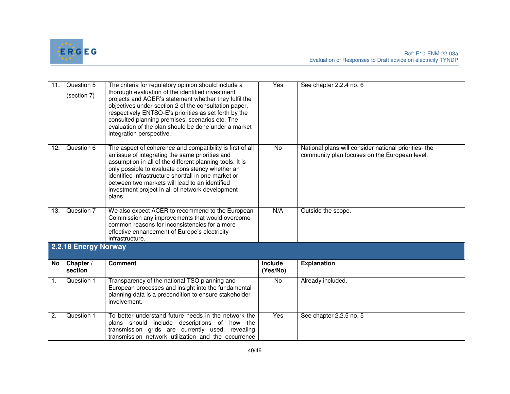

| 11. | Question 5<br>(section 7) | The criteria for regulatory opinion should include a<br>thorough evaluation of the identified investment<br>projects and ACER's statement whether they fulfil the<br>objectives under section 2 of the consultation paper,<br>respectively ENTSO-E's priorities as set forth by the<br>consulted planning premises, scenarios etc. The<br>evaluation of the plan should be done under a market<br>integration perspective. | Yes                        | See chapter 2.2.4 no. 6                                                                                |
|-----|---------------------------|----------------------------------------------------------------------------------------------------------------------------------------------------------------------------------------------------------------------------------------------------------------------------------------------------------------------------------------------------------------------------------------------------------------------------|----------------------------|--------------------------------------------------------------------------------------------------------|
| 12. | Question 6                | The aspect of coherence and compatibility is first of all<br>an issue of integrating the same priorities and<br>assumption in all of the different planning tools. It is<br>only possible to evaluate consistency whether an<br>identified infrastructure shortfall in one market or<br>between two markets will lead to an identified<br>investment project in all of network development<br>plans.                       | <b>No</b>                  | National plans will consider national priorities- the<br>community plan focuses on the European level. |
| 13. | Question 7                | We also expect ACER to recommend to the European<br>Commission any improvements that would overcome<br>common reasons for inconsistencies for a more<br>effective enhancement of Europe's electricity<br>infrastructure.                                                                                                                                                                                                   | N/A                        | Outside the scope.                                                                                     |
|     | 2.2.18 Energy Norway      |                                                                                                                                                                                                                                                                                                                                                                                                                            |                            |                                                                                                        |
| No  | Chapter /<br>section      | <b>Comment</b>                                                                                                                                                                                                                                                                                                                                                                                                             | <b>Include</b><br>(Yes/No) | <b>Explanation</b>                                                                                     |
| 1.  | Question 1                | Transparency of the national TSO planning and<br>European processes and insight into the fundamental<br>planning data is a precondition to ensure stakeholder<br>involvement.                                                                                                                                                                                                                                              | No                         | Already included.                                                                                      |
| 2.  | Question 1                | To better understand future needs in the network the<br>plans should include descriptions of how the<br>transmission grids are currently used, revealing<br>transmission network utilization and the occurrence                                                                                                                                                                                                            | Yes                        | See chapter 2.2.5 no. 5                                                                                |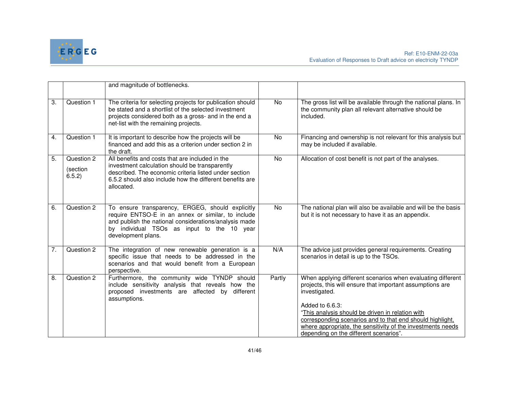

|                  |                                  | and magnitude of bottlenecks.                                                                                                                                                                                                        |                |                                                                                                                                                                                                                                                                                                                                              |
|------------------|----------------------------------|--------------------------------------------------------------------------------------------------------------------------------------------------------------------------------------------------------------------------------------|----------------|----------------------------------------------------------------------------------------------------------------------------------------------------------------------------------------------------------------------------------------------------------------------------------------------------------------------------------------------|
| 3.               | Question 1                       | The criteria for selecting projects for publication should<br>be stated and a shortlist of the selected investment<br>projects considered both as a gross- and in the end a<br>net-list with the remaining projects.                 | No             | The gross list will be available through the national plans. In<br>the community plan all relevant alternative should be<br>included.                                                                                                                                                                                                        |
| 4.               | Question 1                       | It is important to describe how the projects will be<br>financed and add this as a criterion under section 2 in<br>the draft.                                                                                                        | No             | Financing and ownership is not relevant for this analysis but<br>may be included if available.                                                                                                                                                                                                                                               |
| 5.               | Question 2<br>(section<br>6.5.2) | All benefits and costs that are included in the<br>investment calculation should be transparently<br>described. The economic criteria listed under section<br>6.5.2 should also include how the different benefits are<br>allocated. | No             | Allocation of cost benefit is not part of the analyses.                                                                                                                                                                                                                                                                                      |
| 6.               | Question 2                       | To ensure transparency, ERGEG, should explicitly<br>require ENTSO-E in an annex or similar, to include<br>and publish the national considerations/analysis made<br>by individual TSOs as input to the 10 year<br>development plans.  | $\overline{N}$ | The national plan will also be available and will be the basis<br>but it is not necessary to have it as an appendix.                                                                                                                                                                                                                         |
| 7.               | Question 2                       | The integration of new renewable generation is a<br>specific issue that needs to be addressed in the<br>scenarios and that would benefit from a European<br>perspective.                                                             | N/A            | The advice just provides general requirements. Creating<br>scenarios in detail is up to the TSOs.                                                                                                                                                                                                                                            |
| $\overline{8}$ . | Question 2                       | Furthermore, the community wide TYNDP should<br>include sensitivity analysis that reveals how the<br>proposed investments are affected by different<br>assumptions.                                                                  | Partly         | When applying different scenarios when evaluating different<br>projects, this will ensure that important assumptions are<br>investigated.<br>Added to 6.6.3:<br>"This analysis should be driven in relation with<br>corresponding scenarios and to that end should highlight,<br>where appropriate, the sensitivity of the investments needs |
|                  |                                  |                                                                                                                                                                                                                                      |                | depending on the different scenarios".                                                                                                                                                                                                                                                                                                       |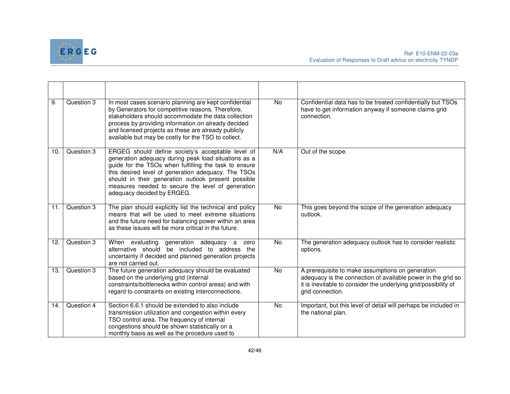

| 9.  | Question 3 | In most cases scenario planning are kept confidential<br>by Generators for competitive reasons. Therefore,<br>stakeholders should accommodate the data collection<br>process by providing information on already decided<br>and licensed projects as these are already publicly<br>available but may be costly for the TSO to collect.                              | No             | Confidential data has to be treated confidentially but TSOs<br>have to get information anyway if someone claims grid<br>connection.                                                                     |
|-----|------------|---------------------------------------------------------------------------------------------------------------------------------------------------------------------------------------------------------------------------------------------------------------------------------------------------------------------------------------------------------------------|----------------|---------------------------------------------------------------------------------------------------------------------------------------------------------------------------------------------------------|
| 10. | Question 3 | ERGEG should define society's acceptable level of<br>generation adequacy during peak load situations as a<br>guide for the TSOs when fulfilling the task to ensure<br>this desired level of generation adequacy. The TSOs<br>should in their generation outlook present possible<br>measures needed to secure the level of generation<br>adequacy decided by ERGEG. | N/A            | Out of the scope.                                                                                                                                                                                       |
| 11. | Question 3 | The plan should explicitly list the technical and policy<br>means that will be used to meet extreme situations<br>and the future need for balancing power within an area<br>as these issues will be more critical in the future.                                                                                                                                    | $\overline{N}$ | This goes beyond the scope of the generation adequacy<br>outlook.                                                                                                                                       |
| 12. | Question 3 | When evaluating generation adequacy a<br>zero<br>alternative should be included to address the<br>uncertainty if decided and planned generation projects<br>are not carried out.                                                                                                                                                                                    | No.            | The generation adequacy outlook has to consider realistic<br>options.                                                                                                                                   |
| 13. | Question 3 | The future generation adequacy should be evaluated<br>based on the underlying grid (internal<br>constraints/bottlenecks within control areas) and with<br>regard to constraints on existing interconnections.                                                                                                                                                       | No             | A prerequisite to make assumptions on generation<br>adequacy is the connection of available power in the grid so<br>it is inevitable to consider the underlying grid/possibility of<br>grid connection. |
| 14. | Question 4 | Section 6.6.1 should be extended to also include<br>transmission utilization and congestion within every<br>TSO control area. The frequency of internal<br>congestions should be shown statistically on a<br>monthly basis as well as the procedure used to                                                                                                         | <b>No</b>      | Important, but this level of detail will perhaps be included in<br>the national plan.                                                                                                                   |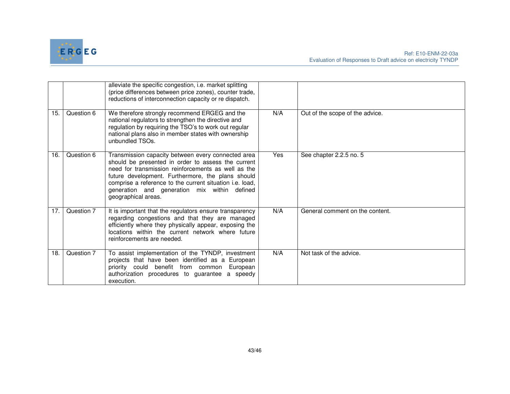

|     |            | alleviate the specific congestion, i.e. market splitting<br>(price differences between price zones), counter trade,<br>reductions of interconnection capacity or re dispatch.                                                                                                                                                                           |     |                                 |
|-----|------------|---------------------------------------------------------------------------------------------------------------------------------------------------------------------------------------------------------------------------------------------------------------------------------------------------------------------------------------------------------|-----|---------------------------------|
| 15. | Question 6 | We therefore strongly recommend ERGEG and the<br>national regulators to strengthen the directive and<br>regulation by requiring the TSO's to work out regular<br>national plans also in member states with ownership<br>unbundled TSOs.                                                                                                                 | N/A | Out of the scope of the advice. |
| 16. | Question 6 | Transmission capacity between every connected area<br>should be presented in order to assess the current<br>need for transmission reinforcements as well as the<br>future development. Furthermore, the plans should<br>comprise a reference to the current situation i.e. load,<br>generation and generation mix within defined<br>geographical areas. | Yes | See chapter 2.2.5 no. 5         |
| 17. | Question 7 | It is important that the regulators ensure transparency<br>regarding congestions and that they are managed<br>efficiently where they physically appear, exposing the<br>locations within the current network where future<br>reinforcements are needed.                                                                                                 | N/A | General comment on the content. |
| 18. | Question 7 | To assist implementation of the TYNDP, investment<br>projects that have been identified as a European<br>priority could benefit from common<br>European<br>authorization procedures to guarantee a speedy<br>execution.                                                                                                                                 | N/A | Not task of the advice.         |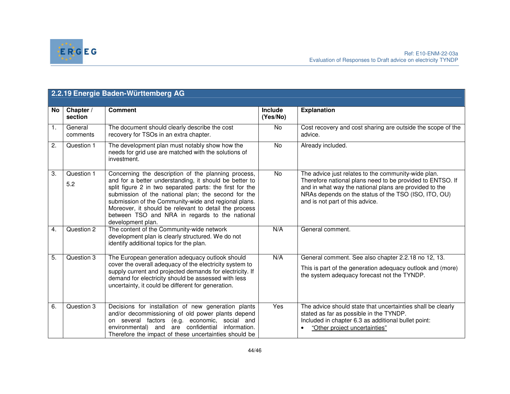

| 2.2.19 Energie Baden-Württemberg AG |                      |                                                                                                                                                                                                                                                                                                                                                                                                                          |                            |                                                                                                                                                                                                                                                                       |
|-------------------------------------|----------------------|--------------------------------------------------------------------------------------------------------------------------------------------------------------------------------------------------------------------------------------------------------------------------------------------------------------------------------------------------------------------------------------------------------------------------|----------------------------|-----------------------------------------------------------------------------------------------------------------------------------------------------------------------------------------------------------------------------------------------------------------------|
| No.                                 | Chapter /<br>section | <b>Comment</b>                                                                                                                                                                                                                                                                                                                                                                                                           | <b>Include</b><br>(Yes/No) | <b>Explanation</b>                                                                                                                                                                                                                                                    |
| $\mathbf{1}$ .                      | General<br>comments  | The document should clearly describe the cost<br>recovery for TSOs in an extra chapter.                                                                                                                                                                                                                                                                                                                                  | No                         | Cost recovery and cost sharing are outside the scope of the<br>advice.                                                                                                                                                                                                |
| 2.                                  | Question 1           | The development plan must notably show how the<br>needs for grid use are matched with the solutions of<br>investment.                                                                                                                                                                                                                                                                                                    | No                         | Already included.                                                                                                                                                                                                                                                     |
| 3.                                  | Question 1<br>5.2    | Concerning the description of the planning process,<br>and for a better understanding, it should be better to<br>split figure 2 in two separated parts: the first for the<br>submission of the national plan; the second for the<br>submission of the Community-wide and regional plans.<br>Moreover, it should be relevant to detail the process<br>between TSO and NRA in regards to the national<br>development plan. | No                         | The advice just relates to the community-wide plan.<br>Therefore national plans need to be provided to ENTSO. If<br>and in what way the national plans are provided to the<br>NRAs depends on the status of the TSO (ISO, ITO, OU)<br>and is not part of this advice. |
| 4.                                  | Question 2           | The content of the Community-wide network<br>development plan is clearly structured. We do not<br>identify additional topics for the plan.                                                                                                                                                                                                                                                                               | N/A                        | General comment.                                                                                                                                                                                                                                                      |
| $\overline{5}$ .                    | Question 3           | The European generation adequacy outlook should<br>cover the overall adequacy of the electricity system to<br>supply current and projected demands for electricity. If<br>demand for electricity should be assessed with less<br>uncertainty, it could be different for generation.                                                                                                                                      | N/A                        | General comment. See also chapter 2.2.18 no 12, 13.<br>This is part of the generation adequacy outlook and (more)<br>the system adequacy forecast not the TYNDP.                                                                                                      |
| 6.                                  | Question 3           | Decisions for installation of new generation plants<br>and/or decommissioning of old power plants depend<br>on several factors (e.g. economic, social and<br>are confidential information.<br>environmental)<br>and<br>Therefore the impact of these uncertainties should be                                                                                                                                             | Yes                        | The advice should state that uncertainties shall be clearly<br>stated as far as possible in the TYNDP.<br>Included in chapter 6.3 as additional bullet point:<br>"Other project uncertainties"                                                                        |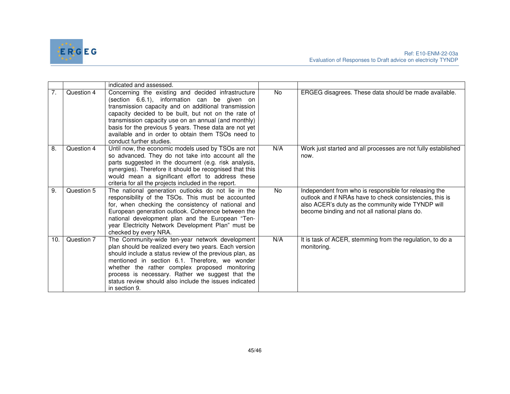

|     |            | indicated and assessed.                                                                                                                                                                                                                                                                                                                                                                                                |           |                                                                                                                                                                                                                         |
|-----|------------|------------------------------------------------------------------------------------------------------------------------------------------------------------------------------------------------------------------------------------------------------------------------------------------------------------------------------------------------------------------------------------------------------------------------|-----------|-------------------------------------------------------------------------------------------------------------------------------------------------------------------------------------------------------------------------|
| 7.  | Question 4 | Concerning the existing and decided infrastructure<br>(section 6.6.1), information can be given on<br>transmission capacity and on additional transmission<br>capacity decided to be built, but not on the rate of<br>transmission capacity use on an annual (and monthly)<br>basis for the previous 5 years. These data are not yet<br>available and in order to obtain them TSOs need to<br>conduct further studies. | <b>No</b> | ERGEG disagrees. These data should be made available.                                                                                                                                                                   |
| 8.  | Question 4 | Until now, the economic models used by TSOs are not<br>so advanced. They do not take into account all the<br>parts suggested in the document (e.g. risk analysis,<br>synergies). Therefore it should be recognised that this<br>would mean a significant effort to address these<br>criteria for all the projects included in the report.                                                                              | N/A       | Work just started and all processes are not fully established<br>now.                                                                                                                                                   |
| 9.  | Question 5 | The national generation outlooks do not lie in the<br>responsibility of the TSOs. This must be accounted<br>for, when checking the consistency of national and<br>European generation outlook. Coherence between the<br>national development plan and the European "Ten-<br>year Electricity Network Development Plan" must be<br>checked by every NRA.                                                                | <b>No</b> | Independent from who is responsible for releasing the<br>outlook and if NRAs have to check consistencies, this is<br>also ACER's duty as the community wide TYNDP will<br>become binding and not all national plans do. |
| 10. | Question 7 | The Community-wide ten-year network development<br>plan should be realized every two years. Each version<br>should include a status review of the previous plan, as<br>mentioned in section 6.1. Therefore, we wonder<br>whether the rather complex proposed monitoring<br>process is necessary. Rather we suggest that the<br>status review should also include the issues indicated<br>in section 9.                 | N/A       | It is task of ACER, stemming from the regulation, to do a<br>monitoring.                                                                                                                                                |